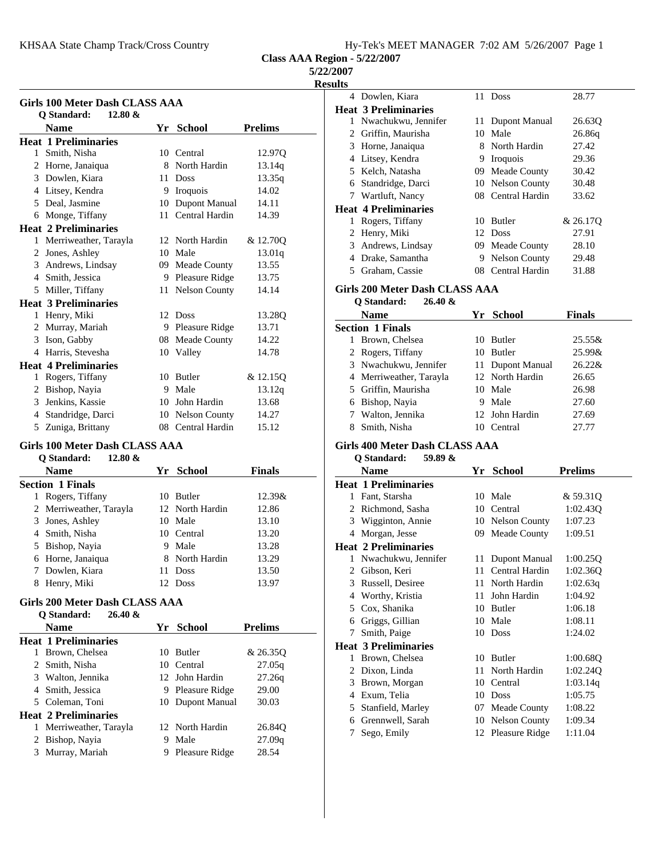KHSAA State Champ Track/Cross Country

**Class AAA Region - 5/22/2007**

# **5/22/2007**

**Resu** 

|              | Girls 100 Meter Dash CLASS AAA |    |                      |                |
|--------------|--------------------------------|----|----------------------|----------------|
|              | 12.80 &<br>Q Standard:         |    |                      |                |
|              | <b>Name</b>                    |    | Yr School            | <b>Prelims</b> |
|              | <b>Heat 1 Preliminaries</b>    |    |                      |                |
| $\mathbf{1}$ | Smith, Nisha                   | 10 | Central              | 12.970         |
|              | 2 Horne, Janaiqua              | 8  | North Hardin         | 13.14q         |
|              | 3 Dowlen, Kiara                | 11 | <b>Doss</b>          | 13.35q         |
| 4            | Litsey, Kendra                 | 9  | Iroquois             | 14.02          |
|              | 5 Deal, Jasmine                | 10 | Dupont Manual        | 14.11          |
| 6            | Monge, Tiffany                 | 11 | Central Hardin       | 14.39          |
|              | <b>Heat 2 Preliminaries</b>    |    |                      |                |
| $\mathbf{1}$ | Merriweather, Tarayla          |    | 12 North Hardin      | & 12.70Q       |
| 2            | Jones, Ashley                  | 10 | Male                 | 13.01q         |
|              | 3 Andrews, Lindsay             | 09 | Meade County         | 13.55          |
| 4            | Smith, Jessica                 |    | 9 Pleasure Ridge     | 13.75          |
| 5            | Miller, Tiffany                | 11 | <b>Nelson County</b> | 14.14          |
|              | <b>Heat 3 Preliminaries</b>    |    |                      |                |
|              | 1 Henry, Miki                  | 12 | Doss                 | 13.28Q         |
|              | 2 Murray, Mariah               |    | 9 Pleasure Ridge     | 13.71          |
|              | 3 Ison, Gabby                  |    | 08 Meade County      | 14.22          |
| 4            | Harris, Stevesha               |    | 10 Valley            | 14.78          |
|              | <b>Heat 4 Preliminaries</b>    |    |                      |                |
| 1            | Rogers, Tiffany                | 10 | <b>Butler</b>        | & 12.15Q       |
| 2            | Bishop, Nayia                  | 9  | Male                 | 13.12q         |
| 3            | Jenkins, Kassie                |    | 10 John Hardin       | 13.68          |
| 4            | Standridge, Darci              |    | 10 Nelson County     | 14.27          |
| 5            | Zuniga, Brittany               |    | 08 Central Hardin    | 15.12          |

## **Girls 100 Meter Dash CLASS AAA Q Standard: 12.80 &**

|   | v bianuai u.<br>14.00 Q |    |                 |               |
|---|-------------------------|----|-----------------|---------------|
|   | <b>Name</b>             |    | Yr School       | <b>Finals</b> |
|   | <b>Section 1 Finals</b> |    |                 |               |
|   | Rogers, Tiffany         |    | 10 Butler       | $12.39\&$     |
|   | 2 Merriweather, Tarayla |    | 12 North Hardin | 12.86         |
|   | 3 Jones, Ashley         |    | 10 Male         | 13.10         |
|   | 4 Smith, Nisha          |    | 10 Central      | 13.20         |
|   | 5 Bishop, Nayia         | 9  | Male            | 13.28         |
|   | 6 Horne, Janaiqua       |    | 8 North Hardin  | 13.29         |
|   | 7 Dowlen, Kiara         | 11 | <b>Doss</b>     | 13.50         |
| 8 | Henry, Miki             |    | 12 Doss         | 13.97         |

# **Girls 200 Meter Dash CLASS AAA**

| Q Standard: | $26.40 \&$ |
|-------------|------------|
|             |            |

|   | <b>Name</b>                 | Yr | <b>School</b>    | <b>Prelims</b> |
|---|-----------------------------|----|------------------|----------------|
|   | <b>Heat 1 Preliminaries</b> |    |                  |                |
| 1 | Brown, Chelsea              |    | 10 Butler        | & 26.350       |
|   | 2 Smith, Nisha              |    | 10 Central       | 27.05q         |
|   | 3 Walton, Jennika           |    | 12 John Hardin   | 27.26q         |
|   | 4 Smith, Jessica            | 9  | Pleasure Ridge   | 29.00          |
|   | 5 Coleman, Toni             |    | 10 Dupont Manual | 30.03          |
|   | <b>Heat 2 Preliminaries</b> |    |                  |                |
| 1 | Merriweather, Tarayla       |    | 12 North Hardin  | 26.84Q         |
|   | 2 Bishop, Nayia             | 9  | Male             | 27.09q         |
| 3 | Murray, Mariah              | 9  | Pleasure Ridge   | 28.54          |
|   |                             |    |                  |                |

| <u>ults</u> |                                       |     |                   |                |  |
|-------------|---------------------------------------|-----|-------------------|----------------|--|
|             | 4 Dowlen, Kiara                       |     | 11 Doss           | 28.77          |  |
|             | <b>Heat 3 Preliminaries</b>           |     |                   |                |  |
|             | 1 Nwachukwu, Jennifer                 | 11- | Dupont Manual     | 26.63Q         |  |
|             | 2 Griffin, Maurisha                   |     | 10 Male           | 26.86q         |  |
|             | 3 Horne, Janaiqua                     |     | 8 North Hardin    | 27.42          |  |
|             | 4 Litsey, Kendra                      |     | 9 Iroquois        | 29.36          |  |
|             | 5 Kelch, Natasha                      |     | 09 Meade County   | 30.42          |  |
|             | 6 Standridge, Darci                   |     | 10 Nelson County  | 30.48          |  |
|             | 7 Wartluft, Nancy                     |     | 08 Central Hardin | 33.62          |  |
|             | <b>Heat 4 Preliminaries</b>           |     |                   |                |  |
|             | 1 Rogers, Tiffany                     |     | 10 Butler         | & 26.17Q       |  |
|             | 2 Henry, Miki                         |     | 12 Doss           | 27.91          |  |
|             | 3 Andrews, Lindsay                    |     | 09 Meade County   | 28.10          |  |
|             | 4 Drake, Samantha                     |     | 9 Nelson County   | 29.48          |  |
|             | 5 Graham, Cassie                      |     | 08 Central Hardin | 31.88          |  |
|             | <b>Girls 200 Meter Dash CLASS AAA</b> |     |                   |                |  |
|             | Q Standard:<br>26.40 &                |     |                   |                |  |
|             | <b>Name</b>                           |     | Yr School         | Finals         |  |
|             | <b>Section 1 Finals</b>               |     |                   |                |  |
| 1           | Brown, Chelsea                        |     | 10 Butler         | 25.55&         |  |
|             | 2 Rogers, Tiffany                     |     | 10 Butler         | 25.99&         |  |
|             | 3 Nwachukwu, Jennifer                 | 11- | Dupont Manual     | 26.22&         |  |
|             | 4 Merriweather, Tarayla               |     | 12 North Hardin   | 26.65          |  |
|             | 5 Griffin, Maurisha                   |     | 10 Male           | 26.98          |  |
|             | 6 Bishop, Nayia                       |     | 9 Male            | 27.60          |  |
|             | 7 Walton, Jennika                     |     | 12 John Hardin    | 27.69          |  |
|             | 8 Smith, Nisha                        |     | 10 Central        | 27.77          |  |
|             |                                       |     |                   |                |  |
|             | <b>Girls 400 Meter Dash CLASS AAA</b> |     |                   |                |  |
|             | Q Standard:<br>59.89 &                |     |                   |                |  |
|             | <b>Name</b>                           |     | Yr School         | <b>Prelims</b> |  |
|             | <b>Heat 1 Preliminaries</b>           |     |                   |                |  |
|             | 1 Fant, Starsha                       |     | 10 Male           | & 59.31Q       |  |
|             | 2 Richmond, Sasha                     |     | 10 Central        | 1:02.43Q       |  |
|             | 3 Wigginton, Annie                    |     | 10 Nelson County  | 1:07.23        |  |
|             | 4 Morgan, Jesse                       |     | 09 Meade County   | 1:09.51        |  |
|             | <b>Heat 2 Preliminaries</b>           |     |                   |                |  |
|             | 1 Nwachukwu, Jennifer                 |     | 11 Dupont Manual  | 1:00.25Q       |  |
|             | 2 Gibson, Keri                        | 11. | Central Hardin    | 1:02.36Q       |  |
|             | 3 Russell, Desiree                    | 11. | North Hardin      | 1:02.63q       |  |
|             | 4 Worthy, Kristia                     | 11  | John Hardin       | 1:04.92        |  |
|             | 5 Cox, Shanika                        |     | 10 Butler         | 1:06.18        |  |
|             | 6 Grioos Gillian                      |     | 10 Male           | 1.0811         |  |

| 6 Griggs, Gillian           |    | 10 Male           | 1:08.11  |
|-----------------------------|----|-------------------|----------|
| 7 Smith, Paige              | 10 | <b>Doss</b>       | 1:24.02  |
| <b>Heat 3 Preliminaries</b> |    |                   |          |
| 1 Brown, Chelsea            |    | 10 Butler         | 1:00.680 |
| 2 Dixon, Linda              |    | 11 North Hardin   | 1:02.240 |
| 3 Brown, Morgan             |    | 10 Central        | 1:03.14q |
| 4 Exum, Telia               |    | 10 Doss           | 1:05.75  |
| 5 Stanfield, Marley         |    | 07 Meade County   | 1:08.22  |
| 6 Grennwell, Sarah          |    | 10 Nelson County  | 1:09.34  |
| Sego, Emily                 |    | 12 Pleasure Ridge | 1:11.04  |
|                             |    |                   |          |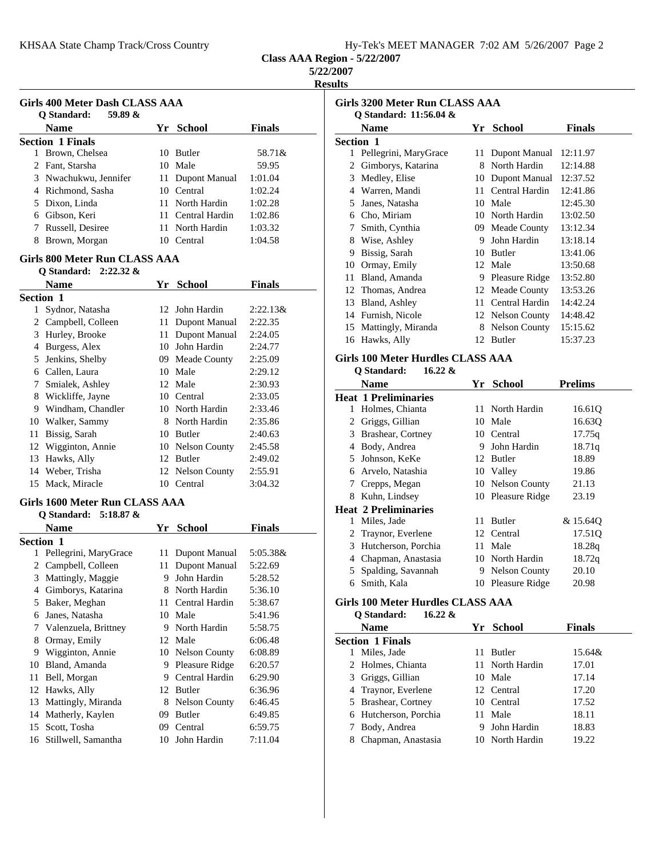|  |  |  |  | Hy-Tek's MEET MANAGER 7:02 AM 5/26/2007 Page 2 |  |  |  |
|--|--|--|--|------------------------------------------------|--|--|--|
|--|--|--|--|------------------------------------------------|--|--|--|

**Class AAA Region - 5/22/2007**

## **5/22/2007**

**Results**

| Girls 400 Meter Dash CLASS AAA<br>59.89 $\&$<br><b>O</b> Standard: |                         |               | <b>Girls 3200 Meter Run CI</b><br>O Standard: 11:56.04 & |
|--------------------------------------------------------------------|-------------------------|---------------|----------------------------------------------------------|
| <b>Name</b>                                                        | Yr School               | <b>Finals</b> | <b>Name</b>                                              |
| <b>Section 1 Finals</b>                                            |                         |               | <b>Section 1</b>                                         |
| Brown, Chelsea                                                     | 10 Butler               | 58.71&        | 1 Pellegrini, MaryGrace                                  |
| 2 Fant, Starsha                                                    | 10 Male                 | 59.95         | 2 Gimborys, Katarina                                     |
| 3 Nwachukwu, Jennifer                                              | 11 Dupont Manual        | 1:01.04       | 3 Medley, Elise                                          |
| 4 Richmond, Sasha                                                  | Central<br>$10^{\circ}$ | 1:02.24       | 4 Warren, Mandi                                          |
| 5 Dixon, Linda                                                     | 11 North Hardin         | 1:02.28       | 5 Janes, Natasha                                         |
| 6 Gibson, Keri                                                     | 11 Central Hardin       | 1:02.86       | 6 Cho, Miriam                                            |
| Russell, Desiree                                                   | 11 North Hardin         | 1:03.32       | 7 Smith, Cynthia                                         |
| Brown, Morgan<br>8.                                                | Central<br>10.          | 1:04.58       | 8 Wise, Ashley                                           |
|                                                                    | 9 Bissig, Sarah         |               |                                                          |
| Girls 800 Meter Run CLASS AAA                                      |                         |               | 10 Ormay, Emily                                          |
| O Standard: $2:22.32 \&$                                           |                         |               | Bland, Amanda<br>11                                      |

|                  | Name                | Yr  | <b>School</b>    | <b>Finals</b> |
|------------------|---------------------|-----|------------------|---------------|
| <b>Section 1</b> |                     |     |                  |               |
| 1                | Sydnor, Natasha     |     | 12 John Hardin   | $2:22.13\&$   |
| 2                | Campbell, Colleen   | 11  | Dupont Manual    | 2:22.35       |
| 3                | Hurley, Brooke      | 11  | Dupont Manual    | 2:24.05       |
| 4                | Burgess, Alex       | 10  | John Hardin      | 2:24.77       |
| 5                | Jenkins, Shelby     | 09. | Meade County     | 2:25.09       |
| 6                | Callen, Laura       | 10  | Male             | 2:29.12       |
| 7                | Smialek, Ashley     |     | 12 Male          | 2:30.93       |
| 8                | Wickliffe, Jayne    | 10  | Central          | 2:33.05       |
| 9                | Windham, Chandler   | 10  | North Hardin     | 2:33.46       |
| 10               | Walker, Sammy       | 8   | North Hardin     | 2:35.86       |
| 11               | Bissig, Sarah       | 10  | <b>Butler</b>    | 2:40.63       |
|                  | 12 Wigginton, Annie |     | 10 Nelson County | 2:45.58       |
| 13               | Hawks, Ally         | 12  | <b>Butler</b>    | 2:49.02       |
| 14               | Weber, Trisha       |     | 12 Nelson County | 2:55.91       |
| 15               | Mack, Miracle       | 10  | Central          | 3:04.32       |

#### **Girls 1600 Meter Run CLASS AAA Q Standard: 5:18.87 &**

|                  | $\vee$ biance in $\mathfrak{c}$ . |    |                      |               |
|------------------|-----------------------------------|----|----------------------|---------------|
|                  | <b>Name</b>                       | Yr | <b>School</b>        | <b>Finals</b> |
| <b>Section 1</b> |                                   |    |                      |               |
| 1                | Pellegrini, MaryGrace             |    | 11 Dupont Manual     | 5:05.38&      |
| 2                | Campbell, Colleen                 | 11 | Dupont Manual        | 5:22.69       |
| 3                | Mattingly, Maggie                 | 9  | John Hardin          | 5:28.52       |
| 4                | Gimborys, Katarina                | 8  | North Hardin         | 5:36.10       |
| 5                | Baker, Meghan                     | 11 | Central Hardin       | 5:38.67       |
| 6                | Janes, Natasha                    |    | 10 Male              | 5:41.96       |
| 7                | Valenzuela, Brittney              | 9  | North Hardin         | 5:58.75       |
| 8                | Ormay, Emily                      |    | 12 Male              | 6:06.48       |
| 9                | Wigginton, Annie                  |    | 10 Nelson County     | 6:08.89       |
| 10               | Bland, Amanda                     | 9  | Pleasure Ridge       | 6:20.57       |
| 11               | Bell, Morgan                      | 9  | Central Hardin       | 6:29.90       |
| 12               | Hawks, Ally                       |    | 12 Butler            | 6:36.96       |
| 13               | Mattingly, Miranda                | 8  | <b>Nelson County</b> | 6:46.45       |
| 14               | Matherly, Kaylen                  | 09 | Butler               | 6:49.85       |
| 15               | Scott, Tosha                      | 09 | Central              | 6:59.75       |
| 16               | Stillwell, Samantha               | 10 | John Hardin          | 7:11.04       |
|                  |                                   |    |                      |               |

| Firls 3200 Meter Run CLASS AAA<br>Q Standard: 11:56.04 & |                       |    |                     |               |
|----------------------------------------------------------|-----------------------|----|---------------------|---------------|
|                                                          | Name                  | Yr | <b>School</b>       | <b>Finals</b> |
|                                                          | Section 1             |    |                     |               |
| 1                                                        | Pellegrini, MaryGrace | 11 | Dupont Manual       | 12:11.97      |
| 2                                                        | Gimborys, Katarina    | 8  | North Hardin        | 12:14.88      |
| 3                                                        | Medley, Elise         | 10 | Dupont Manual       | 12:37.52      |
| 4                                                        | Warren, Mandi         | 11 | Central Hardin      | 12:41.86      |
| 5                                                        | Janes, Natasha        | 10 | Male                | 12:45.30      |
| 6                                                        | Cho, Miriam           | 10 | North Hardin        | 13:02.50      |
| 7                                                        | Smith, Cynthia        | 09 | <b>Meade County</b> | 13:12.34      |
| 8                                                        | Wise, Ashley          | 9  | John Hardin         | 13:18.14      |
| 9                                                        | Bissig, Sarah         | 10 | Butler              | 13:41.06      |
| 10                                                       | Ormay, Emily          | 12 | Male                | 13:50.68      |
| 11                                                       | Bland, Amanda         | 9  | Pleasure Ridge      | 13:52.80      |
| 12                                                       | Thomas, Andrea        |    | 12 Meade County     | 13:53.26      |
| 13                                                       | Bland, Ashley         | 11 | Central Hardin      | 14:42.24      |
| 14                                                       | Furnish, Nicole       | 12 | Nelson County       | 14:48.42      |
| 15                                                       | Mattingly, Miranda    | 8  | Nelson County       | 15:15.62      |
| 16                                                       | Hawks, Ally           | 12 | Butler              | 15:37.23      |
|                                                          |                       |    |                     |               |

# **Girls 100 Meter Hurdles CLASS AAA**

## **Q Standard: 16.22 &**

|   | Name                        | Yr | <b>School</b>     | <b>Prelims</b> |
|---|-----------------------------|----|-------------------|----------------|
|   | <b>Heat 1 Preliminaries</b> |    |                   |                |
| L | Holmes, Chianta             |    | 11 North Hardin   | 16.61Q         |
| 2 | Griggs, Gillian             |    | 10 Male           | 16.630         |
| 3 | Brashear, Cortney           |    | 10 Central        | 17.75q         |
| 4 | Body, Andrea                | 9  | John Hardin       | 18.71g         |
| 5 | Johnson, KeKe               |    | 12 Butler         | 18.89          |
| 6 | Arvelo, Natashia            |    | 10 Valley         | 19.86          |
| 7 | Crepps, Megan               |    | 10 Nelson County  | 21.13          |
| 8 | Kuhn, Lindsey               |    | 10 Pleasure Ridge | 23.19          |
|   | Heat 2 Preliminaries        |    |                   |                |
| 1 | Miles, Jade                 | 11 | <b>Butler</b>     | & 15.640       |
|   | 2 Traynor, Everlene         |    | 12 Central        | 17.51Q         |
| 3 | Hutcherson, Porchia         |    | 11 Male           | 18.28q         |
| 4 | Chapman, Anastasia          |    | 10 North Hardin   | 18.72q         |
| 5 | Spalding, Savannah          |    | 9 Nelson County   | 20.10          |
| 6 | Smith, Kala                 |    | 10 Pleasure Ridge | 20.98          |
|   |                             |    |                   |                |

# **Girls 100 Meter Hurdles CLASS AAA**

**Q Standard: 16.22 &**

|   | <b>Name</b>             |    | Yr School       | <b>Finals</b> |  |
|---|-------------------------|----|-----------------|---------------|--|
|   | <b>Section 1 Finals</b> |    |                 |               |  |
|   | Miles, Jade             | 11 | Butler          | 15.64&        |  |
|   | 2 Holmes, Chianta       |    | 11 North Hardin | 17.01         |  |
|   | 3 Griggs, Gillian       |    | 10 Male         | 17.14         |  |
|   | 4 Traynor, Everlene     |    | 12 Central      | 17.20         |  |
|   | 5 Brashear, Cortney     |    | 10 Central      | 17.52         |  |
|   | 6 Hutcherson, Porchia   |    | 11 Male         | 18.11         |  |
|   | Body, Andrea            | 9  | John Hardin     | 18.83         |  |
| 8 | Chapman, Anastasia      |    | 10 North Hardin | 19.22         |  |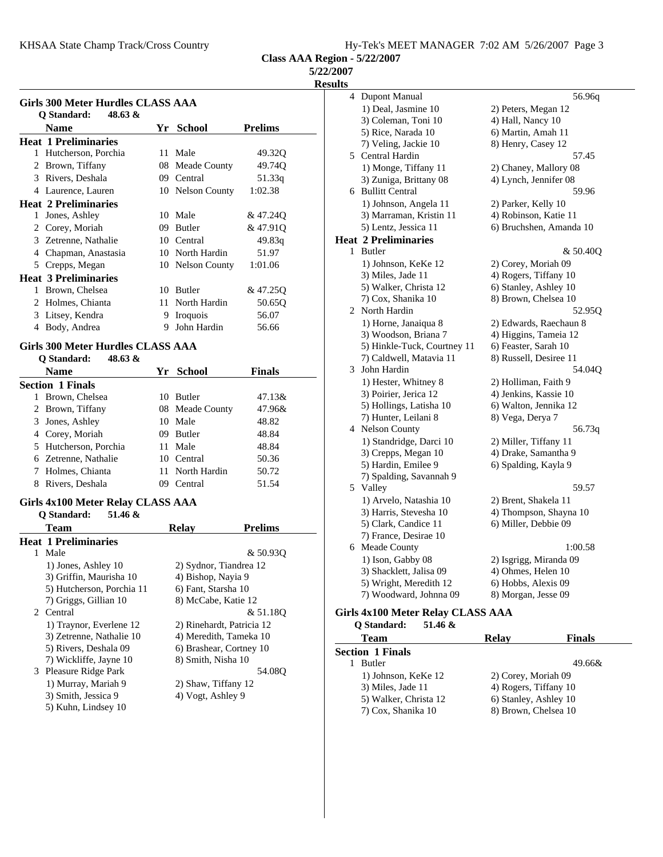KHSAA State Champ Track/Cross Country Hy-Tek's MEET MANAGER 7:02 AM 5/26/2007 Page 3

**Class AAA Region - 5/22/2007**

**5/22/2007**

**Results**

| Girls 300 Meter Hurdles CLASS AAA |                                              |    |                               |                |
|-----------------------------------|----------------------------------------------|----|-------------------------------|----------------|
|                                   | 48.63 &<br><b>O</b> Standard:<br><b>Name</b> | Yr | <b>School</b>                 | <b>Prelims</b> |
|                                   | <b>Heat 1 Preliminaries</b>                  |    |                               |                |
| 1                                 | Hutcherson, Porchia                          | 11 | Male                          | 49.320         |
| 2                                 | Brown, Tiffany                               | 08 | Meade County                  | 49.74Q         |
| 3                                 | Rivers, Deshala                              | 09 | Central                       | 51.33q         |
| 4                                 | Laurence, Lauren                             |    | 10 Nelson County              | 1:02.38        |
|                                   | <b>Heat 2 Preliminaries</b>                  |    |                               |                |
| 1                                 | Jones, Ashley                                | 10 | Male                          | & 47.24Q       |
| 2                                 | Corey, Moriah                                | 09 | Butler                        | & 47.910       |
|                                   | 3 Zetrenne, Nathalie                         |    | 10 Central                    | 49.83q         |
| 4                                 | Chapman, Anastasia                           |    | 10 North Hardin               | 51.97          |
| 5                                 | Crepps, Megan                                |    | 10 Nelson County              | 1:01.06        |
|                                   | <b>Heat 3 Preliminaries</b>                  |    |                               |                |
| 1                                 | Brown, Chelsea                               | 10 | <b>Butler</b>                 | & 47.25Q       |
| $\mathfrak{D}$                    | Holmes, Chianta                              | 11 | North Hardin                  | 50.65Q         |
| 3                                 | Litsey, Kendra                               | 9  | <i><u><b>Iroquois</b></u></i> | 56.07          |
| 4                                 | Body, Andrea                                 | 9  | John Hardin                   | 56.66          |

# **Girls 300 Meter Hurdles CLASS AAA**

| $48.63 \&$<br>O Standard: |    |                 |               |  |
|---------------------------|----|-----------------|---------------|--|
| <b>Name</b>               |    | Yr School       | <b>Finals</b> |  |
| <b>Section 1 Finals</b>   |    |                 |               |  |
| Brown, Chelsea<br>1       | 10 | <b>Butler</b>   | 47.13&        |  |
| 2 Brown, Tiffany          |    | 08 Meade County | 47.96&        |  |
| Jones, Ashley<br>3        |    | 10 Male         | 48.82         |  |
| Corey, Moriah<br>4        | 09 | <b>Butler</b>   | 48.84         |  |
| 5 Hutcherson, Porchia     | 11 | Male            | 48.84         |  |
| 6 Zetrenne, Nathalie      |    | 10 Central      | 50.36         |  |
| Holmes, Chianta           |    | 11 North Hardin | 50.72         |  |
| Rivers, Deshala<br>8      |    | Central         | 51.54         |  |

# **Girls 4x100 Meter Relay CLASS AAA**

|    | 51.46 &<br>O Standard:      |                     |                           |
|----|-----------------------------|---------------------|---------------------------|
|    | <b>Team</b>                 | Relay               | <b>Prelims</b>            |
|    | <b>Heat 1 Preliminaries</b> |                     |                           |
| 1. | Male                        |                     | & 50.930                  |
|    | 1) Jones, Ashley 10         |                     | 2) Sydnor, Tiandrea 12    |
|    | 3) Griffin, Maurisha 10     | 4) Bishop, Nayia 9  |                           |
|    | 5) Hutcherson, Porchia 11   | 6) Fant, Starsha 10 |                           |
|    | 7) Griggs, Gillian 10       | 8) McCabe, Katie 12 |                           |
|    | 2 Central                   |                     | & 51.180                  |
|    | 1) Traynor, Everlene 12     |                     | 2) Rinehardt, Patricia 12 |
|    | 3) Zetrenne, Nathalie 10    |                     | 4) Meredith, Tameka 10    |
|    | 5) Rivers, Deshala 09       |                     | 6) Brashear, Cortney 10   |
|    | 7) Wickliffe, Jayne 10      | 8) Smith, Nisha 10  |                           |
|    | 3 Pleasure Ridge Park       |                     | 54.08O                    |
|    | 1) Murray, Mariah 9         | 2) Shaw, Tiffany 12 |                           |
|    | 3) Smith, Jessica 9         | 4) Vogt, Ashley 9   |                           |
|    | 5) Kuhn, Lindsey 10         |                     |                           |

| 4 | <b>Dupont Manual</b>                                           | 56.96q                  |
|---|----------------------------------------------------------------|-------------------------|
|   | 1) Deal, Jasmine 10                                            | 2) Peters, Megan 12     |
|   | 3) Coleman, Toni 10                                            | 4) Hall, Nancy 10       |
|   | 5) Rice, Narada 10                                             | 6) Martin, Amah 11      |
|   | 7) Veling, Jackie 10                                           | 8) Henry, Casey 12      |
|   | 5 Central Hardin                                               | 57.45                   |
|   | 1) Monge, Tiffany 11                                           | 2) Chaney, Mallory 08   |
|   | 3) Zuniga, Brittany 08                                         | 4) Lynch, Jennifer 08   |
| 6 | <b>Bullitt Central</b>                                         | 59.96                   |
|   | 1) Johnson, Angela 11                                          | 2) Parker, Kelly 10     |
|   | 3) Marraman, Kristin 11                                        | 4) Robinson, Katie 11   |
|   | 5) Lentz, Jessica 11                                           | 6) Bruchshen, Amanda 10 |
|   | <b>Heat 2 Preliminaries</b>                                    |                         |
| 1 | <b>Butler</b>                                                  | & 50.40Q                |
|   | 1) Johnson, KeKe 12                                            | 2) Corey, Moriah 09     |
|   | 3) Miles, Jade 11                                              | 4) Rogers, Tiffany 10   |
|   | 5) Walker, Christa 12                                          | 6) Stanley, Ashley 10   |
|   | 7) Cox, Shanika 10                                             | 8) Brown, Chelsea 10    |
| 2 | North Hardin                                                   | 52.95Q                  |
|   | 1) Horne, Janaiqua 8                                           | 2) Edwards, Raechaun 8  |
|   | 3) Woodson, Briana 7                                           | 4) Higgins, Tameia 12   |
|   | 5) Hinkle-Tuck, Courtney 11                                    | 6) Feaster, Sarah 10    |
|   | 7) Caldwell, Matavia 11                                        | 8) Russell, Desiree 11  |
|   | 3 John Hardin                                                  | 54.04Q                  |
|   | 1) Hester, Whitney 8                                           | 2) Holliman, Faith 9    |
|   | 3) Poirier, Jerica 12                                          | 4) Jenkins, Kassie 10   |
|   | 5) Hollings, Latisha 10                                        | 6) Walton, Jennika 12   |
|   | 7) Hunter, Leilani 8                                           | 8) Vega, Derya 7        |
|   | 4 Nelson County                                                | 56.73q                  |
|   | 1) Standridge, Darci 10                                        | 2) Miller, Tiffany 11   |
|   | 3) Crepps, Megan 10                                            | 4) Drake, Samantha 9    |
|   | 5) Hardin, Emilee 9                                            | 6) Spalding, Kayla 9    |
| 5 | 7) Spalding, Savannah 9<br>Valley                              | 59.57                   |
|   | 1) Arvelo, Natashia 10                                         | 2) Brent, Shakela 11    |
|   | 3) Harris, Stevesha 10                                         | 4) Thompson, Shayna 10  |
|   | 5) Clark, Candice 11                                           | 6) Miller, Debbie 09    |
|   | 7) France, Desirae 10                                          |                         |
|   | 6 Meade County                                                 | 1:00.58                 |
|   | 1) Ison, Gabby 08                                              | 2) Isgrigg, Miranda 09  |
|   | 3) Shacklett, Jalisa 09                                        | 4) Ohmes, Helen 10      |
|   | 5) Wright, Meredith 12                                         | 6) Hobbs, Alexis 09     |
|   | 7) Woodward, Johnna 09                                         | 8) Morgan, Jesse 09     |
|   | $C_{\rm inlo}$ $A_{\rm v}$ 100 Motor Dolov $C_{\rm I}$ ACC AAA |                         |

#### **Girls 4x100 Meter Relay CLASS AAA Q Standard: 51.46 &**

| Team                    | <b>Relay</b>          | <b>Finals</b> |
|-------------------------|-----------------------|---------------|
| <b>Section 1 Finals</b> |                       |               |
| <b>Butler</b>           |                       | 49.66&        |
| 1) Johnson, KeKe 12     | 2) Corey, Moriah 09   |               |
| 3) Miles, Jade 11       | 4) Rogers, Tiffany 10 |               |
| 5) Walker, Christa 12   | 6) Stanley, Ashley 10 |               |
| 7) Cox, Shanika 10      | 8) Brown, Chelsea 10  |               |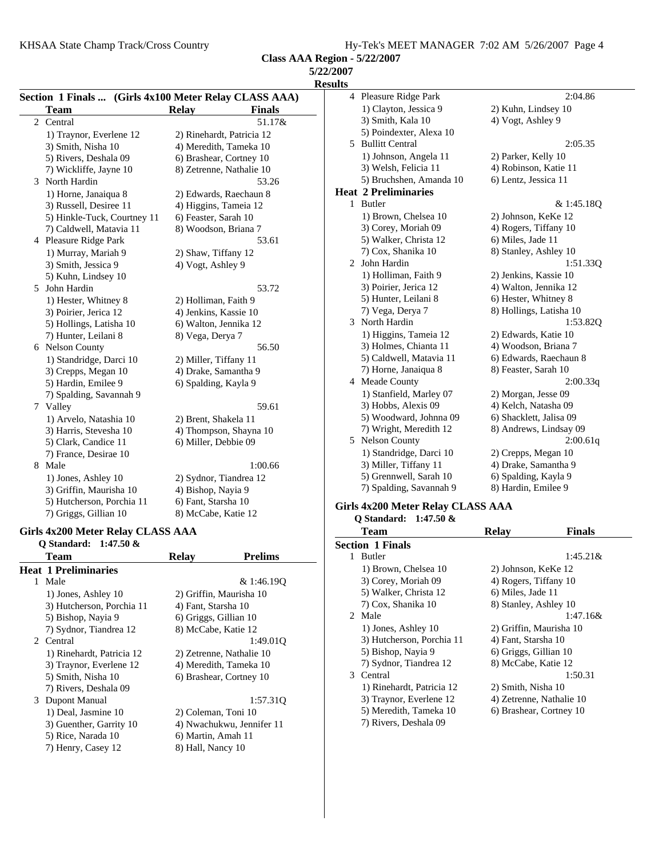**Class AAA Region - 5/22/2007**

| 4 Plea                     |
|----------------------------|
| $1)$ $\circ$               |
| $3)$ S                     |
| 5) F                       |
| 5<br>Bul                   |
| $1)$ J                     |
| 3) V                       |
| 5) E                       |
| Heat 2 P                   |
| 1<br>But                   |
| $1)$ F                     |
| $3)$ C                     |
| 5) V                       |
| 7) C                       |
| Joh<br>2                   |
| $1)$ H                     |
| 3) F                       |
| 5) F                       |
| 7) N                       |
| 3<br>Nor                   |
| $1)$ H                     |
| $3)$ H                     |
| $5)$ C                     |
| 7) F                       |
| 4 Mea                      |
| $1)$ S                     |
| 3) F                       |
| 5) V                       |
| 7) V                       |
| 5.<br>Nel                  |
| $1)$ S                     |
| 3) N                       |
| 5) C                       |
| 7) S                       |
|                            |
| Girls $4x2$<br><u>പാരം</u> |
|                            |

### **Girls 4x200 Meter Relay CLASS AAA**

|    | Q Standard: 1:47.50 &       |                       |                           |  |
|----|-----------------------------|-----------------------|---------------------------|--|
|    | Team                        | <b>Relay</b>          | <b>Prelims</b>            |  |
|    | <b>Heat 1 Preliminaries</b> |                       |                           |  |
| 1. | Male                        |                       | & 1:46.190                |  |
|    | 1) Jones, Ashley 10         |                       | 2) Griffin, Maurisha 10   |  |
|    | 3) Hutcherson, Porchia 11   | 4) Fant, Starsha 10   |                           |  |
|    | 5) Bishop, Nayia 9          | 6) Griggs, Gillian 10 |                           |  |
|    | 7) Sydnor, Tiandrea 12      | 8) McCabe, Katie 12   |                           |  |
|    | 2 Central                   |                       | 1:49.010                  |  |
|    | 1) Rinehardt, Patricia 12   |                       | 2) Zetrenne, Nathalie 10  |  |
|    | 3) Traynor, Everlene 12     |                       | 4) Meredith, Tameka 10    |  |
|    | 5) Smith, Nisha 10          |                       | 6) Brashear, Cortney 10   |  |
|    | 7) Rivers, Deshala 09       |                       |                           |  |
| 3  | Dupont Manual               |                       | 1:57.310                  |  |
|    | 1) Deal, Jasmine 10         | 2) Coleman, Toni 10   |                           |  |
|    | 3) Guenther, Garrity 10     |                       | 4) Nwachukwu, Jennifer 11 |  |
|    | 5) Rice, Narada 10          | 6) Martin, Amah 11    |                           |  |
|    | 7) Henry, Casey 12          | 8) Hall, Nancy 10     |                           |  |

|                       | 4 Pleasure Ridge Park       | 2:04.86                 |
|-----------------------|-----------------------------|-------------------------|
|                       | 1) Clayton, Jessica 9       | 2) Kuhn, Lindsey 10     |
|                       | 3) Smith, Kala 10           | 4) Vogt, Ashley 9       |
|                       | 5) Poindexter, Alexa 10     |                         |
|                       | 5 Bullitt Central           | 2:05.35                 |
|                       | 1) Johnson, Angela 11       | 2) Parker, Kelly 10     |
|                       | 3) Welsh, Felicia 11        | 4) Robinson, Katie 11   |
|                       | 5) Bruchshen, Amanda 10     | 6) Lentz, Jessica 11    |
|                       | <b>Heat 2 Preliminaries</b> |                         |
| $\mathbf{1}$          | <b>Butler</b>               | & 1:45.18Q              |
|                       | 1) Brown, Chelsea 10        | 2) Johnson, KeKe 12     |
|                       | 3) Corey, Moriah 09         | 4) Rogers, Tiffany 10   |
|                       | 5) Walker, Christa 12       | 6) Miles, Jade 11       |
|                       | 7) Cox, Shanika 10          | 8) Stanley, Ashley 10   |
| $\mathbf{2}^{\prime}$ | John Hardin                 | 1:51.33Q                |
|                       | 1) Holliman, Faith 9        | 2) Jenkins, Kassie 10   |
|                       | 3) Poirier, Jerica 12       | 4) Walton, Jennika 12   |
|                       | 5) Hunter, Leilani 8        | 6) Hester, Whitney 8    |
|                       | 7) Vega, Derya 7            | 8) Hollings, Latisha 10 |
| 3                     | North Hardin                | 1:53.82Q                |
|                       | 1) Higgins, Tameia 12       | 2) Edwards, Katie 10    |
|                       | 3) Holmes, Chianta 11       | 4) Woodson, Briana 7    |
|                       | 5) Caldwell, Matavia 11     | 6) Edwards, Raechaun 8  |
|                       | 7) Horne, Janaiqua 8        | 8) Feaster, Sarah 10    |
|                       | 4 Meade County              | 2:00.33q                |
|                       | 1) Stanfield, Marley 07     | 2) Morgan, Jesse 09     |
|                       | 3) Hobbs, Alexis 09         | 4) Kelch, Natasha 09    |
|                       | 5) Woodward, Johnna 09      | 6) Shacklett, Jalisa 09 |
|                       | 7) Wright, Meredith 12      | 8) Andrews, Lindsay 09  |
|                       | 5 Nelson County             | 2:00.61q                |
|                       | 1) Standridge, Darci 10     | 2) Crepps, Megan 10     |
|                       | 3) Miller, Tiffany 11       | 4) Drake, Samantha 9    |
|                       | 5) Grennwell, Sarah 10      | 6) Spalding, Kayla 9    |
|                       | 7) Spalding, Savannah 9     | 8) Hardin, Emilee 9     |
|                       |                             |                         |

## **Girls 4x200 Meter Relay CLASS AAA**

| O Standard: $1:47.50 \&$  |                          |               |
|---------------------------|--------------------------|---------------|
| Team                      | <b>Relay</b>             | <b>Finals</b> |
| <b>Section 1 Finals</b>   |                          |               |
| <b>Butler</b><br>1        |                          | $1:45.21\&$   |
| 1) Brown, Chelsea 10      | 2) Johnson, KeKe 12      |               |
| 3) Corey, Moriah 09       | 4) Rogers, Tiffany 10    |               |
| 5) Walker, Christa 12     | 6) Miles, Jade 11        |               |
| 7) Cox, Shanika 10        | 8) Stanley, Ashley 10    |               |
| 2 Male                    |                          | $1:47.16\&$   |
| 1) Jones, Ashley 10       | 2) Griffin, Maurisha 10  |               |
| 3) Hutcherson, Porchia 11 | 4) Fant, Starsha 10      |               |
| 5) Bishop, Nayia 9        | 6) Griggs, Gillian 10    |               |
| 7) Sydnor, Tiandrea 12    | 8) McCabe, Katie 12      |               |
| 3 Central                 | 1:50.31                  |               |
| 1) Rinehardt, Patricia 12 | 2) Smith, Nisha 10       |               |
| 3) Traynor, Everlene 12   | 4) Zetrenne, Nathalie 10 |               |
| 5) Meredith, Tameka 10    | 6) Brashear, Cortney 10  |               |
| 7) Rivers, Deshala 09     |                          |               |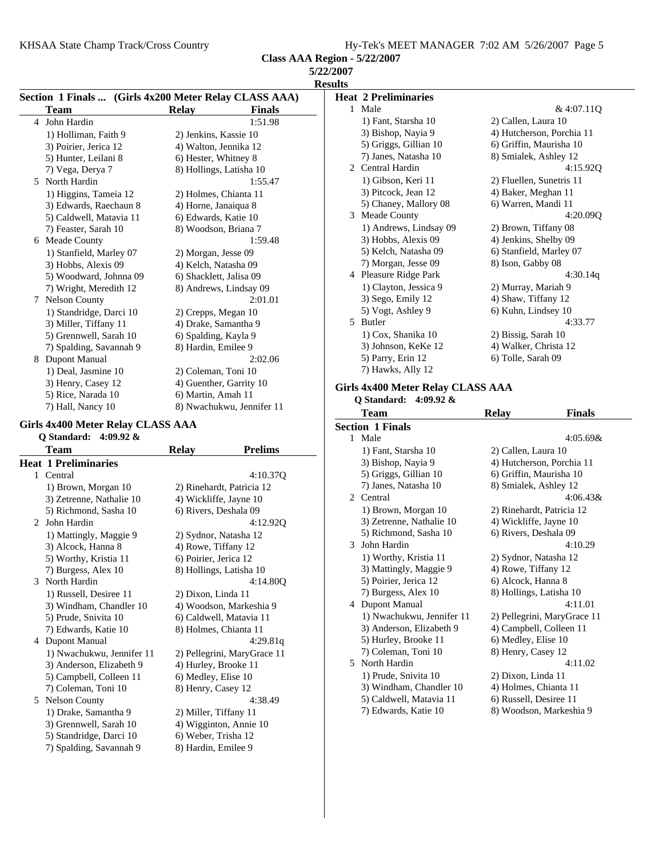KHSAA State Champ Track/Cross Country

**Class AAA Region - 5/22/2007**

| <b>5/22/2007</b> |  |
|------------------|--|
| <b>Results</b>   |  |

|                         | Section 1 Finals  (Girls 4x200 Meter Relay CLASS AAA) | <b>Heat 2 Preliminaries</b>       |                               |            |
|-------------------------|-------------------------------------------------------|-----------------------------------|-------------------------------|------------|
| <b>Team</b>             | <b>Finals</b><br><b>Relay</b>                         | 1 Male                            |                               | & 4:07.11Q |
| 4 John Hardin           | 1:51.98                                               | 1) Fant, Starsha 10               | 2) Callen, Laura 10           |            |
| 1) Holliman, Faith 9    | 2) Jenkins, Kassie 10                                 | 3) Bishop, Nayia 9                | 4) Hutcherson, Porchia 11     |            |
| 3) Poirier, Jerica 12   | 4) Walton, Jennika 12                                 | 5) Griggs, Gillian 10             | 6) Griffin, Maurisha 10       |            |
| 5) Hunter, Leilani 8    | 6) Hester, Whitney 8                                  | 7) Janes, Natasha 10              | 8) Smialek, Ashley 12         |            |
| 7) Vega, Derya 7        | 8) Hollings, Latisha 10                               | 2 Central Hardin                  |                               | 4:15.92Q   |
| 5 North Hardin          | 1:55.47                                               | 1) Gibson, Keri 11                | 2) Fluellen, Sunetris 11      |            |
| 1) Higgins, Tameia 12   | 2) Holmes, Chianta 11                                 | 3) Pitcock, Jean 12               | 4) Baker, Meghan 11           |            |
| 3) Edwards, Raechaun 8  | 4) Horne, Janaiqua 8                                  | 5) Chaney, Mallory 08             | 6) Warren, Mandi 11           |            |
| 5) Caldwell, Matavia 11 | 6) Edwards, Katie 10                                  | Meade County<br>3                 |                               | 4:20.09Q   |
| 7) Feaster, Sarah 10    | 8) Woodson, Briana 7                                  | 1) Andrews, Lindsay 09            | 2) Brown, Tiffany 08          |            |
| 6 Meade County          | 1:59.48                                               | 3) Hobbs, Alexis 09               | 4) Jenkins, Shelby 09         |            |
| 1) Stanfield, Marley 07 | 2) Morgan, Jesse 09                                   | 5) Kelch, Natasha 09              | 6) Stanfield, Marley 07       |            |
| 3) Hobbs, Alexis 09     | 4) Kelch, Natasha 09                                  | 7) Morgan, Jesse 09               | 8) Ison, Gabby 08             |            |
| 5) Woodward, Johnna 09  | 6) Shacklett, Jalisa 09                               | 4 Pleasure Ridge Park             |                               | 4:30.14q   |
| 7) Wright, Meredith 12  | 8) Andrews, Lindsay 09                                | 1) Clayton, Jessica 9             | 2) Murray, Mariah 9           |            |
| 7 Nelson County         | 2:01.01                                               | 3) Sego, Emily 12                 | 4) Shaw, Tiffany 12           |            |
| 1) Standridge, Darci 10 | 2) Crepps, Megan 10                                   | 5) Vogt, Ashley 9                 | 6) Kuhn, Lindsey 10           |            |
| 3) Miller, Tiffany 11   | 4) Drake, Samantha 9                                  | 5 Butler                          |                               | 4:33.77    |
| 5) Grennwell, Sarah 10  | 6) Spalding, Kayla 9                                  | 1) Cox, Shanika 10                | 2) Bissig, Sarah 10           |            |
| 7) Spalding, Savannah 9 | 8) Hardin, Emilee 9                                   | 3) Johnson, KeKe 12               | 4) Walker, Christa 12         |            |
| 8<br>Dupont Manual      | 2:02.06                                               | 5) Parry, Erin 12                 | 6) Tolle, Sarah 09            |            |
| 1) Deal, Jasmine 10     | 2) Coleman, Toni 10                                   | 7) Hawks, Ally 12                 |                               |            |
| 3) Henry, Casey 12      | 4) Guenther, Garrity 10                               | Girls 4x400 Meter Relay CLASS AAA |                               |            |
| 5) Rice, Narada 10      | 6) Martin, Amah 11                                    |                                   |                               |            |
| 7) Hall, Nancy 10       | 8) Nwachukwu, Jennifer 11                             | Q Standard: $4:09.92 \&$<br>m.    | $\mathbf{D}$ . $\mathbf{L}$ . | п. н       |

## **Girls 4x400 Meter Relay CLASS AAA**

|             | Q Standard:<br>4:09.92 $\&$ |                       |                             |
|-------------|-----------------------------|-----------------------|-----------------------------|
|             | Team                        | Relay                 | <b>Prelims</b>              |
|             | <b>Heat 1 Preliminaries</b> |                       |                             |
| 1           | Central                     |                       | 4:10.37Q                    |
|             | 1) Brown, Morgan 10         |                       | 2) Rinehardt, Patricia 12   |
|             | 3) Zetrenne, Nathalie 10    |                       | 4) Wickliffe, Jayne 10      |
|             | 5) Richmond, Sasha 10       |                       | 6) Rivers, Deshala 09       |
| $2^{\circ}$ | John Hardin                 |                       | 4:12.92Q                    |
|             | 1) Mattingly, Maggie 9      |                       | 2) Sydnor, Natasha 12       |
|             | 3) Alcock, Hanna 8          |                       | 4) Rowe, Tiffany 12         |
|             | 5) Worthy, Kristia 11       | 6) Poirier, Jerica 12 |                             |
|             | 7) Burgess, Alex 10         |                       | 8) Hollings, Latisha 10     |
| 3           | North Hardin                |                       | 4:14.80O                    |
|             | 1) Russell, Desiree 11      | 2) Dixon, Linda 11    |                             |
|             | 3) Windham, Chandler 10     |                       | 4) Woodson, Markeshia 9     |
|             | 5) Prude, Snivita 10        |                       | 6) Caldwell, Matavia 11     |
|             | 7) Edwards, Katie 10        |                       | 8) Holmes, Chianta 11       |
| 4           | Dupont Manual               |                       | 4:29.81q                    |
|             | 1) Nwachukwu, Jennifer 11   |                       | 2) Pellegrini, MaryGrace 11 |
|             | 3) Anderson, Elizabeth 9    |                       | 4) Hurley, Brooke 11        |
|             | 5) Campbell, Colleen 11     | 6) Medley, Elise 10   |                             |
|             | 7) Coleman, Toni 10         | 8) Henry, Casey 12    |                             |
| 5           | Nelson County               |                       | 4:38.49                     |
|             | 1) Drake, Samantha 9        |                       | 2) Miller, Tiffany 11       |
|             | 3) Grennwell, Sarah 10      |                       | 4) Wigginton, Annie 10      |
|             | 5) Standridge, Darci 10     |                       | 6) Weber, Trisha 12         |
|             | 7) Spalding, Savannah 9     | 8) Hardin, Emilee 9   |                             |

|                             | Team                      | <b>Relay</b>            | Finals                      |
|-----------------------------|---------------------------|-------------------------|-----------------------------|
|                             | <b>Section 1 Finals</b>   |                         |                             |
|                             | 1 Male                    |                         | $4:05.69\&$                 |
|                             | 1) Fant, Starsha 10       | 2) Callen, Laura 10     |                             |
|                             | 3) Bishop, Nayia 9        |                         | 4) Hutcherson, Porchia 11   |
|                             | 5) Griggs, Gillian 10     | 6) Griffin, Maurisha 10 |                             |
|                             | 7) Janes, Natasha 10      | 8) Smialek, Ashley 12   |                             |
| $\mathcal{D}_{\mathcal{L}}$ | Central                   |                         | $4:06.43\&$                 |
|                             | 1) Brown, Morgan 10       |                         | 2) Rinehardt, Patricia 12   |
|                             | 3) Zetrenne, Nathalie 10  | 4) Wickliffe, Jayne 10  |                             |
|                             | 5) Richmond, Sasha 10     | 6) Rivers, Deshala 09   |                             |
| 3                           | John Hardin               |                         | 4:10.29                     |
|                             | 1) Worthy, Kristia 11     | 2) Sydnor, Natasha 12   |                             |
|                             | 3) Mattingly, Maggie 9    | 4) Rowe, Tiffany 12     |                             |
|                             | 5) Poirier, Jerica 12     | 6) Alcock, Hanna 8      |                             |
|                             | 7) Burgess, Alex 10       | 8) Hollings, Latisha 10 |                             |
|                             | 4 Dupont Manual           |                         | 4:11.01                     |
|                             | 1) Nwachukwu, Jennifer 11 |                         | 2) Pellegrini, MaryGrace 11 |
|                             | 3) Anderson, Elizabeth 9  | 4) Campbell, Colleen 11 |                             |
|                             | 5) Hurley, Brooke 11      | 6) Medley, Elise 10     |                             |
|                             | 7) Coleman, Toni 10       | 8) Henry, Casey 12      |                             |
| 5.                          | North Hardin              |                         | 4:11.02                     |
|                             | 1) Prude, Snivita 10      | 2) Dixon, Linda 11      |                             |
|                             | 3) Windham, Chandler 10   | 4) Holmes, Chianta 11   |                             |
|                             | 5) Caldwell, Matavia 11   | 6) Russell, Desiree 11  |                             |
|                             | 7) Edwards, Katie 10      |                         | 8) Woodson, Markeshia 9     |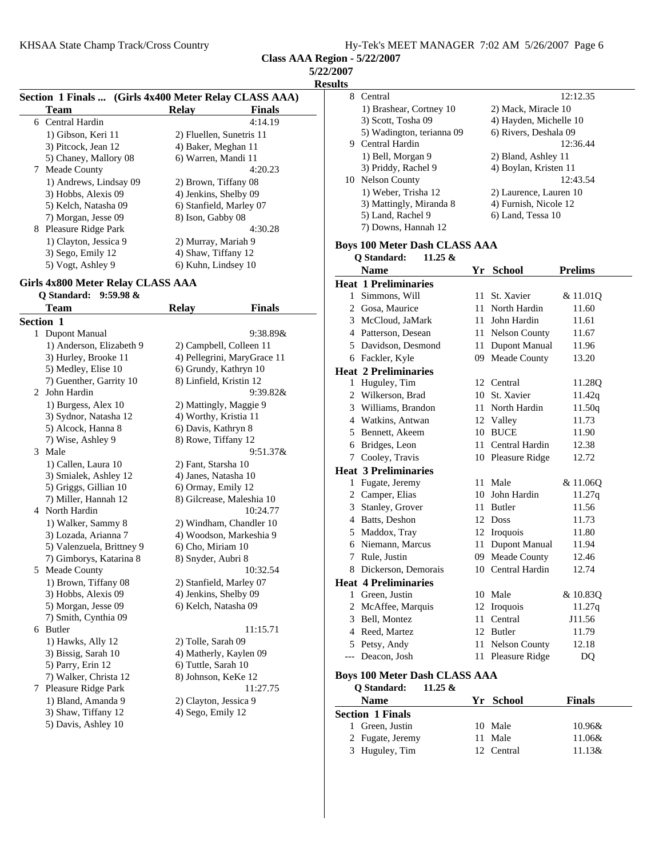**Class AAA Region - 5/22/2007**

**5/22/2007**

**Results**

|   |                        |                          | Section 1 Finals  (Girls 4x400 Meter Relay CLASS AAA) |  |  |
|---|------------------------|--------------------------|-------------------------------------------------------|--|--|
|   | Team                   | Relav                    | <b>Finals</b>                                         |  |  |
|   | 6 Central Hardin       |                          | 4:14.19                                               |  |  |
|   | 1) Gibson, Keri 11     | 2) Fluellen, Sunetris 11 |                                                       |  |  |
|   | 3) Pitcock, Jean 12    | 4) Baker, Meghan 11      |                                                       |  |  |
|   | 5) Chaney, Mallory 08  | 6) Warren, Mandi 11      |                                                       |  |  |
| 7 | Meade County           |                          | 4:20.23                                               |  |  |
|   | 1) Andrews, Lindsay 09 | 2) Brown, Tiffany 08     |                                                       |  |  |
|   | 3) Hobbs, Alexis 09    | 4) Jenkins, Shelby 09    |                                                       |  |  |
|   | 5) Kelch, Natasha 09   | 6) Stanfield, Marley 07  |                                                       |  |  |
|   | 7) Morgan, Jesse 09    | 8) Ison, Gabby 08        |                                                       |  |  |
| 8 | Pleasure Ridge Park    |                          | 4:30.28                                               |  |  |
|   | 1) Clayton, Jessica 9  | 2) Murray, Mariah 9      |                                                       |  |  |
|   | 3) Sego, Emily 12      | 4) Shaw, Tiffany 12      |                                                       |  |  |
|   | 5) Vogt, Ashley 9      | 6) Kuhn, Lindsey 10      |                                                       |  |  |

# **Girls 4x800 Meter Relay CLASS AAA**

# **Q Standard: 9:59.98 &**

|              | Team                      | <b>Relay</b>            | <b>Finals</b>               |  |
|--------------|---------------------------|-------------------------|-----------------------------|--|
|              | Section 1                 |                         |                             |  |
| $\mathbf{1}$ | Dupont Manual             |                         | 9:38.89&                    |  |
|              | 1) Anderson, Elizabeth 9  | 2) Campbell, Colleen 11 |                             |  |
|              | 3) Hurley, Brooke 11      |                         | 4) Pellegrini, MaryGrace 11 |  |
|              | 5) Medley, Elise 10       | 6) Grundy, Kathryn 10   |                             |  |
|              | 7) Guenther, Garrity 10   | 8) Linfield, Kristin 12 |                             |  |
| 2            | John Hardin               | 9:39.82&                |                             |  |
|              | 1) Burgess, Alex 10       | 2) Mattingly, Maggie 9  |                             |  |
|              | 3) Sydnor, Natasha 12     | 4) Worthy, Kristia 11   |                             |  |
|              | 5) Alcock, Hanna 8        | 6) Davis, Kathryn 8     |                             |  |
|              | 7) Wise, Ashley 9         | 8) Rowe, Tiffany 12     |                             |  |
|              | 3 Male                    |                         | 9:51.37&                    |  |
|              | 1) Callen, Laura 10       | 2) Fant, Starsha 10     |                             |  |
|              | 3) Smialek, Ashley 12     | 4) Janes, Natasha 10    |                             |  |
|              | 5) Griggs, Gillian 10     | 6) Ormay, Emily 12      |                             |  |
|              | 7) Miller, Hannah 12      |                         | 8) Gilcrease, Maleshia 10   |  |
|              | 4 North Hardin            |                         | 10:24.77                    |  |
|              | 1) Walker, Sammy 8        |                         | 2) Windham, Chandler 10     |  |
|              | 3) Lozada, Arianna 7      |                         | 4) Woodson, Markeshia 9     |  |
|              | 5) Valenzuela, Brittney 9 | 6) Cho, Miriam 10       |                             |  |
|              | 7) Gimborys, Katarina 8   | 8) Snyder, Aubri 8      |                             |  |
|              | 5 Meade County            |                         | 10:32.54                    |  |
|              | 1) Brown, Tiffany 08      | 2) Stanfield, Marley 07 |                             |  |
|              | 3) Hobbs, Alexis 09       | 4) Jenkins, Shelby 09   |                             |  |
|              | 5) Morgan, Jesse 09       | 6) Kelch, Natasha 09    |                             |  |
|              | 7) Smith, Cynthia 09      |                         |                             |  |
|              | 6 Butler                  |                         | 11:15.71                    |  |
|              | 1) Hawks, Ally 12         | 2) Tolle, Sarah 09      |                             |  |
|              | 3) Bissig, Sarah 10       | 4) Matherly, Kaylen 09  |                             |  |
|              | 5) Parry, Erin 12         | 6) Tuttle, Sarah 10     |                             |  |
|              | 7) Walker, Christa 12     | 8) Johnson, KeKe 12     |                             |  |
|              | 7 Pleasure Ridge Park     |                         | 11:27.75                    |  |
|              | 1) Bland, Amanda 9        | 2) Clayton, Jessica 9   |                             |  |
|              | 3) Shaw, Tiffany 12       | 4) Sego, Emily 12       |                             |  |
|              | 5) Davis, Ashley 10       |                         |                             |  |

| LS |                           |                        |
|----|---------------------------|------------------------|
|    | 8 Central                 | 12:12.35               |
|    | 1) Brashear, Cortney 10   | 2) Mack, Miracle 10    |
|    | 3) Scott, Tosha 09        | 4) Hayden, Michelle 10 |
|    | 5) Wadington, terianna 09 | 6) Rivers, Deshala 09  |
|    | 9 Central Hardin          | 12:36.44               |
|    | 1) Bell, Morgan 9         | 2) Bland, Ashley 11    |
|    | 3) Priddy, Rachel 9       | 4) Boylan, Kristen 11  |
|    | 10 Nelson County          | 12:43.54               |
|    | 1) Weber, Trisha 12       | 2) Laurence, Lauren 10 |
|    | 3) Mattingly, Miranda 8   | 4) Furnish, Nicole 12  |
|    | 5) Land, Rachel 9         | 6) Land, Tessa 10      |
|    | 7) Downs, Hannah 12       |                        |
|    |                           |                        |

# **Boys 100 Meter Dash CLASS AAA**

|    | Q Standard:<br>$11.25 \&$            |     |                      |                |
|----|--------------------------------------|-----|----------------------|----------------|
|    | <b>Name</b>                          |     | Yr School            | <b>Prelims</b> |
|    | <b>Heat 1 Preliminaries</b>          |     |                      |                |
| 1. | Simmons, Will                        | 11. | St. Xavier           | & 11.01Q       |
|    | 2 Gosa, Maurice                      |     | 11 North Hardin      | 11.60          |
|    | 3 McCloud, JaMark                    |     | 11 John Hardin       | 11.61          |
|    | 4 Patterson, Desean                  |     | 11 Nelson County     | 11.67          |
|    | 5 Davidson, Desmond                  | 11  | <b>Dupont Manual</b> | 11.96          |
| 6  | Fackler, Kyle                        | 09  | Meade County         | 13.20          |
|    | <b>Heat 2 Preliminaries</b>          |     |                      |                |
|    | 1 Huguley, Tim                       |     | 12 Central           | 11.28Q         |
|    | 2 Wilkerson, Brad                    |     | 10 St. Xavier        | 11.42q         |
|    | 3 Williams, Brandon                  |     | 11 North Hardin      | 11.50q         |
|    | 4 Watkins, Antwan                    |     | 12 Valley            | 11.73          |
|    | 5 Bennett, Akeem                     |     | 10 BUCE              | 11.90          |
|    | 6 Bridges, Leon                      |     | 11 Central Hardin    | 12.38          |
|    | 7 Cooley, Travis                     |     | 10 Pleasure Ridge    | 12.72          |
|    | <b>Heat 3 Preliminaries</b>          |     |                      |                |
| 1  | Fugate, Jeremy                       | 11  | Male                 | & 11.06Q       |
|    | 2 Camper, Elias                      | 10. | John Hardin          | 11.27q         |
|    | 3 Stanley, Grover                    | 11. | <b>Butler</b>        | 11.56          |
|    | 4 Batts, Deshon                      |     | 12 Doss              | 11.73          |
|    | 5 Maddox, Tray                       |     | 12 Iroquois          | 11.80          |
|    | 6 Niemann, Marcus                    | 11- | Dupont Manual        | 11.94          |
|    | 7 Rule, Justin                       | 09  | Meade County         | 12.46          |
|    | 8 Dickerson, Demorais                |     | 10 Central Hardin    | 12.74          |
|    | <b>Heat 4 Preliminaries</b>          |     |                      |                |
|    | 1 Green, Justin                      |     | 10 Male              | & 10.83Q       |
|    | 2 McAffee, Marquis                   |     | 12 Iroquois          | 11.27q         |
|    | 3 Bell, Montez                       | 11  | Central              | J11.56         |
|    | 4 Reed, Martez                       |     | 12 Butler            | 11.79          |
|    | 5 Petsy, Andy                        | 11  | <b>Nelson County</b> | 12.18          |
|    | --- Deacon, Josh                     |     | 11 Pleasure Ridge    | DQ             |
|    | <b>Boys 100 Meter Dash CLASS AAA</b> |     |                      |                |

**Q Standard: 11.25 &**

| $\sim$ $\sim$ $\sim$ $\sim$ $\sim$ $\sim$ $\sim$ |            |               |
|--------------------------------------------------|------------|---------------|
| <b>Name</b>                                      | Yr School  | <b>Finals</b> |
| <b>Section 1 Finals</b>                          |            |               |
| 1 Green, Justin                                  | 10 Male    | 10.96&        |
| 2 Fugate, Jeremy                                 | 11 Male    | 11.06&        |
| 3 Huguley, Tim                                   | 12 Central | $11.13\&$     |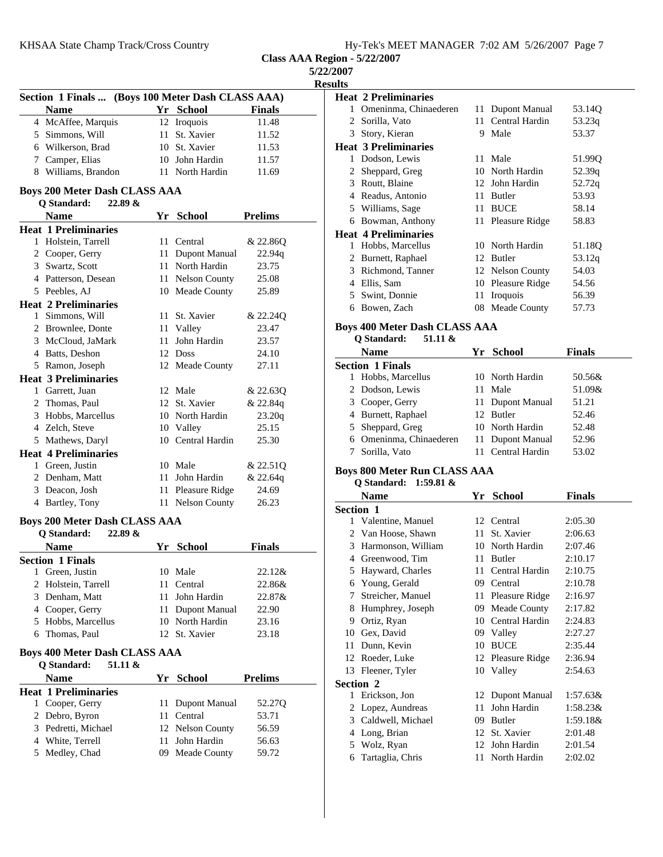## KHSAA State Champ Track/Cross Country

**Class AAA Region - 5/22/2007**

| 5/22/2007      |  |
|----------------|--|
| <b>Results</b> |  |

|   | Section 1 Finals  (Boys 100 Meter Dash CLASS AAA) |    |                      |                |
|---|---------------------------------------------------|----|----------------------|----------------|
|   | <b>Name</b>                                       |    | Yr School            | <b>Finals</b>  |
|   | 4 McAffee, Marquis                                |    | 12 Iroquois          | 11.48          |
|   | 5 Simmons, Will                                   |    | 11 St. Xavier        | 11.52          |
|   | 6 Wilkerson, Brad                                 |    | 10 St. Xavier        | 11.53          |
|   | 7 Camper, Elias                                   |    | 10 John Hardin       | 11.57          |
|   | 8 Williams, Brandon                               |    | 11 North Hardin      | 11.69          |
|   | <b>Boys 200 Meter Dash CLASS AAA</b>              |    |                      |                |
|   | Q Standard:<br>22.89 &<br><b>Name</b>             |    | Yr School            | <b>Prelims</b> |
|   | <b>Heat 1 Preliminaries</b>                       |    |                      |                |
| 1 | Holstein, Tarrell                                 | 11 | Central              | & 22.86Q       |
|   | 2 Cooper, Gerry                                   | 11 | <b>Dupont Manual</b> | 22.94q         |
|   | 3 Swartz, Scott                                   | 11 | North Hardin         | 23.75          |
|   | 4 Patterson, Desean                               |    | 11 Nelson County     | 25.08          |
|   | 5 Peebles, AJ                                     |    | 10 Meade County      | 25.89          |
|   | <b>Heat 2 Preliminaries</b>                       |    |                      |                |
|   | 1 Simmons, Will                                   |    | 11 St. Xavier        | & 22.24Q       |
|   | 2 Brownlee, Donte                                 |    | 11 Valley            | 23.47          |
|   | 3 McCloud, JaMark                                 | 11 | John Hardin          | 23.57          |
|   | 4 Batts, Deshon                                   | 12 | <b>Doss</b>          | 24.10          |
|   | 5 Ramon, Joseph                                   |    | 12 Meade County      | 27.11          |
|   | <b>Heat 3 Preliminaries</b>                       |    |                      |                |
|   | 1 Garrett, Juan                                   |    | 12 Male              | & 22.630       |
|   | 2 Thomas, Paul                                    |    | 12 St. Xavier        | & 22.84q       |
|   | 3 Hobbs, Marcellus                                |    | 10 North Hardin      | 23.20q         |
|   | 4 Zelch, Steve                                    | 10 | Valley               | 25.15          |
|   | 5 Mathews, Daryl                                  | 10 | Central Hardin       | 25.30          |
|   | <b>Heat 4 Preliminaries</b>                       |    |                      |                |
|   | 1 Green, Justin                                   |    | 10 Male              | & 22.51Q       |
|   | 2 Denham, Matt                                    |    | 11 John Hardin       | & 22.64q       |
|   | 3 Deacon, Josh                                    |    | 11 Pleasure Ridge    | 24.69          |
|   | 4 Bartley, Tony                                   | 11 | <b>Nelson County</b> | 26.23          |

# **Boys 200 Meter Dash CLASS AAA**

| 22.89 &<br><b>Q</b> Standard: |         |                  |               |
|-------------------------------|---------|------------------|---------------|
| <b>Name</b>                   |         | Yr School        | <b>Finals</b> |
| <b>Section 1 Finals</b>       |         |                  |               |
| Green, Justin<br>L            | 10 Male |                  | $22.12\&$     |
| 2 Holstein, Tarrell           |         | 11 Central       | 22.86&        |
| 3 Denham, Matt                |         | 11 John Hardin   | 22.87&        |
| 4 Cooper, Gerry               |         | 11 Dupont Manual | 22.90         |
| 5 Hobbs, Marcellus            |         | 10 North Hardin  | 23.16         |
| 6 Thomas, Paul                |         | 12 St. Xavier    | 23.18         |

#### **Boys 400 Meter Dash CLASS AAA**

| 51.11 $\&$<br>O Standard:   |                  |                    |
|-----------------------------|------------------|--------------------|
| <b>Name</b>                 | Yr School        | <b>Prelims</b>     |
| <b>Heat 1 Preliminaries</b> |                  |                    |
| 1 Cooper, Gerry             | 11 Dupont Manual | 52.27 <sub>O</sub> |
| 2 Debro, Byron              | 11 Central       | 53.71              |
| 3 Pedretti, Michael         | 12 Nelson County | 56.59              |
| 4 White, Terrell            | 11 John Hardin   | 56.63              |
| 5 Medley, Chad              | 09 Meade County  | 59.72              |

**Heat 2 Preliminaries** 1 53.14Q Omeninma, Chinaederen 11 Dupont Manual 2 53.23q Sorilla, Vato 11 Central Hardin 3 Story, Kieran 9 Male 53.37 **Heat 3 Preliminaries** 1 Dodson, Lewis 11 Male 51.99Q 2 Sheppard, Greg 10 North Hardin 52.39q<br>3 Routt, Blaine 12 John Hardin 52.72q 3 Routt, Blaine 12 John Hardin 4 53.93 Readus, Antonio 11 Butler 5 58.14 Williams, Sage 11 BUCE 6 58.83 Bowman, Anthony 11 Pleasure Ridge **Heat 4 Preliminaries** 1 Hobbs, Marcellus 10 North Hardin 51.18Q 2 Burnett, Raphael 12 Butler 53.12q 3 Richmond, Tanner 12 Nelson County 54.03 4 Ellis, Sam 10 Pleasure Ridge 54.56 5 56.39 Swint, Donnie 11 Iroquois 6 57.73 Bowen, Zach 08 Meade County

## **Boys 400 Meter Dash CLASS AAA Q Standard: 51.11 &**

| <b>Name</b>             | Yr School         | <b>Finals</b> |  |
|-------------------------|-------------------|---------------|--|
| <b>Section 1 Finals</b> |                   |               |  |
| 1 Hobbs, Marcellus      | 10 North Hardin   | 50.56&        |  |
| 2 Dodson, Lewis         | 11 Male           | 51.09&        |  |
| 3 Cooper, Gerry         | 11 Dupont Manual  | 51.21         |  |
| 4 Burnett, Raphael      | 12 Butler         | 52.46         |  |
| 5 Sheppard, Greg        | 10 North Hardin   | 52.48         |  |
| 6 Omeninma, Chinaederen | 11 Dupont Manual  | 52.96         |  |
| Sorilla, Vato           | 11 Central Hardin | 53.02         |  |
|                         |                   |               |  |

# **Boys 800 Meter Run CLASS AAA**

#### **Q Standard: 1:59.81 &**

|                  | Name                | Yr  | <b>School</b>     | <b>Finals</b> |
|------------------|---------------------|-----|-------------------|---------------|
| <b>Section 1</b> |                     |     |                   |               |
|                  | 1 Valentine, Manuel |     | 12 Central        | 2:05.30       |
| 2                | Van Hoose, Shawn    | 11  | St. Xavier        | 2:06.63       |
| 3                | Harmonson, William  | 10  | North Hardin      | 2:07.46       |
| 4                | Greenwood, Tim      | 11  | Butler            | 2:10.17       |
| 5                | Hayward, Charles    | 11  | Central Hardin    | 2:10.75       |
| 6                | Young, Gerald       | 09  | Central           | 2:10.78       |
| 7                | Streicher, Manuel   | 11  | Pleasure Ridge    | 2:16.97       |
| 8                | Humphrey, Joseph    | 09  | Meade County      | 2:17.82       |
| 9                | Ortiz, Ryan         | 10  | Central Hardin    | 2:24.83       |
| 10               | Gex, David          | 09  | Valley            | 2:27.27       |
| 11               | Dunn, Kevin         | 10  | <b>BUCE</b>       | 2:35.44       |
| 12               | Roeder, Luke        |     | 12 Pleasure Ridge | 2:36.94       |
|                  | 13 Fleener, Tyler   |     | 10 Valley         | 2:54.63       |
|                  | <b>Section 2</b>    |     |                   |               |
| 1                | Erickson, Jon       |     | 12 Dupont Manual  | 1:57.63&      |
| 2                | Lopez, Aundreas     | 11  | John Hardin       | $1:58.23\&$   |
| 3                | Caldwell, Michael   | 09  | Butler            | 1:59.18&      |
| 4                | Long, Brian         | 12  | St. Xavier        | 2:01.48       |
| 5                | Wolz, Ryan          | 12  | John Hardin       | 2:01.54       |
| 6                | Tartaglia, Chris    | 11. | North Hardin      | 2:02.02       |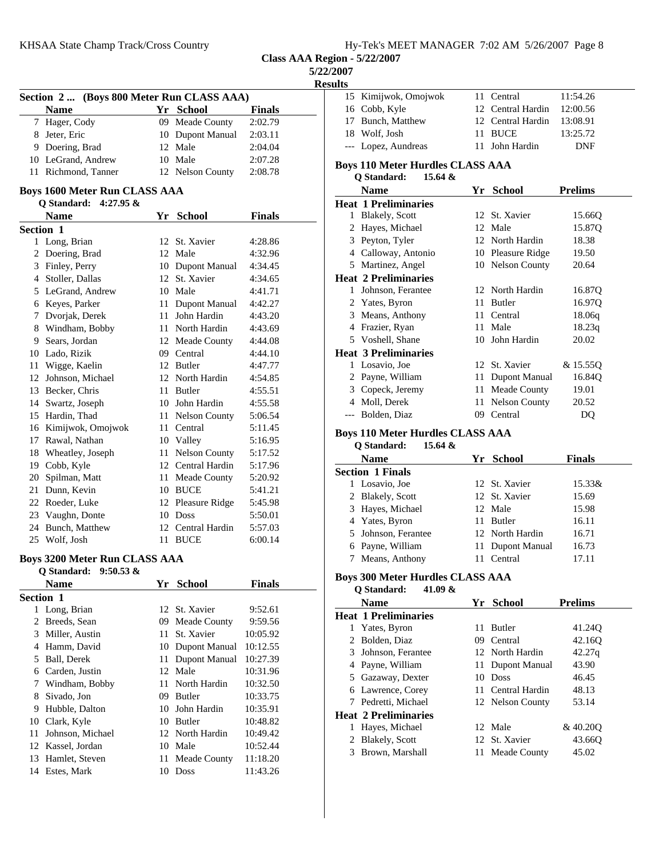|  |  |  |  |  |  | Hy-Tek's MEET MANAGER 7:02 AM 5/26/2007 Page 8 |  |  |
|--|--|--|--|--|--|------------------------------------------------|--|--|
|--|--|--|--|--|--|------------------------------------------------|--|--|

**Class AAA Region - 5/22/2007**

**5/22/2007**

**Resu** 

|    | <b>Name</b>                          |     | Yr School                    | <b>Finals</b>      |
|----|--------------------------------------|-----|------------------------------|--------------------|
|    | 7 Hager, Cody                        |     | 09 Meade County              | 2:02.79            |
|    | 8 Jeter, Eric                        |     | 10 Dupont Manual             | 2:03.11            |
|    | 9 Doering, Brad                      |     | 12 Male                      | 2:04.04            |
|    | 10 LeGrand, Andrew                   |     | 10 Male                      | 2:07.28            |
|    | 11 Richmond, Tanner                  |     | 12 Nelson County             | 2:08.78            |
|    | <b>Boys 1600 Meter Run CLASS AAA</b> |     |                              |                    |
|    | Q Standard: 4:27.95 &                |     |                              |                    |
|    | <b>Name</b>                          |     | Yr School                    | Finals             |
|    | Section 1                            |     |                              |                    |
|    | 1 Long, Brian                        |     | 12 St. Xavier                | 4:28.86            |
|    | 2 Doering, Brad                      |     | 12 Male                      | 4:32.96            |
|    | 3 Finley, Perry                      |     | 10 Dupont Manual             | 4:34.45            |
|    | 4 Stoller, Dallas                    |     | 12 St. Xavier                | 4:34.65            |
|    | 5 LeGrand, Andrew                    |     | 10 Male                      | 4:41.71            |
|    | 6 Keyes, Parker                      |     | 11 Dupont Manual             | 4:42.27            |
|    | 7 Dvorjak, Derek                     |     | 11 John Hardin               | 4:43.20            |
|    | 8 Windham, Bobby                     |     | 11 North Hardin              | 4:43.69            |
|    | 9 Sears, Jordan                      |     | 12 Meade County              | 4:44.08            |
|    | 10 Lado, Rizik                       |     | 09 Central                   | 4:44.10            |
|    | 11 Wigge, Kaelin                     |     | 12 Butler                    | 4:47.77            |
|    | 12 Johnson, Michael                  |     | 12 North Hardin              | 4:54.85            |
|    | 13 Becker, Chris                     |     | 11 Butler                    | 4:55.51            |
|    | 14 Swartz, Joseph                    |     | 10 John Hardin               | 4:55.58            |
|    | 15 Hardin, Thad                      |     | 11 Nelson County             | 5:06.54            |
|    | 16 Kimijwok, Omojwok                 |     | 11 Central                   | 5:11.45            |
|    | 17 Rawal, Nathan                     |     | 10 Valley                    | 5:16.95            |
|    | 18 Wheatley, Joseph                  |     | 11 Nelson County             | 5:17.52            |
|    | 19 Cobb, Kyle                        |     | 12 Central Hardin            | 5:17.96            |
| 20 | Spilman, Matt                        |     | 11 Meade County              | 5:20.92            |
| 21 | Dunn, Kevin                          |     | 10 BUCE                      | 5:41.21            |
|    | 22 Roeder, Luke                      |     |                              |                    |
|    | 23 Vaughn, Donte                     |     | 12 Pleasure Ridge<br>10 Doss | 5:45.98<br>5:50.01 |
|    | 24 Bunch, Matthew                    |     | 12 Central Hardin            |                    |
|    |                                      |     | 11 BUCE                      | 5:57.03<br>6:00.14 |
|    | 25 Wolf, Josh                        |     |                              |                    |
|    | <b>Boys 3200 Meter Run CLASS AAA</b> |     |                              |                    |
|    | O Standard: 9:50.53 &                |     |                              |                    |
|    | <b>Name</b>                          | Yr  | <b>School</b>                | <b>Finals</b>      |
|    | Section 1                            |     |                              |                    |
|    | 1 Long, Brian                        |     | 12 St. Xavier                | 9:52.61            |
|    | 2 Breeds, Sean                       | 09  | Meade County                 | 9:59.56            |
| 3  | Miller, Austin                       | 11- | St. Xavier                   | 10:05.92           |
|    | 4 Hamm, David                        | 10  | Dupont Manual                | 10:12.55           |
|    | 5 Ball, Derek                        | 11  | <b>Dupont Manual</b>         | 10:27.39           |
|    | 6 Carden, Justin                     | 12  | Male                         | 10:31.96           |
|    | 7 Windham, Bobby                     | 11  | North Hardin                 | 10:32.50           |
| 8  | Sivado, Jon                          |     | 09 Butler                    | 10:33.75           |
|    | 9 Hubble, Dalton                     |     | 10 John Hardin               | 10:35.91           |
|    | 10 Clark, Kyle                       |     | 10 Butler                    | 10:48.82           |
| 11 | Johnson, Michael                     |     | 12 North Hardin              | 10:49.42           |
|    | 12 Kassel, Jordan                    |     | 10 Male                      | 10:52.44           |
|    |                                      |     |                              |                    |
| 13 | Hamlet, Steven                       | 11  | Meade County                 | 11:18.20           |

| 15<br>16<br>17 | Kimijwok, Omojwok<br>Cobb, Kyle<br>Bunch, Matthew                    | 11   | Central                            |                |  |
|----------------|----------------------------------------------------------------------|------|------------------------------------|----------------|--|
|                |                                                                      |      |                                    | 11:54.26       |  |
|                |                                                                      | 12   | Central Hardin                     | 12:00.56       |  |
|                |                                                                      |      | 12 Central Hardin                  | 13:08.91       |  |
|                | 18 Wolf, Josh                                                        | 11-  | <b>BUCE</b>                        | 13:25.72       |  |
|                | --- Lopez, Aundreas                                                  | 11-  | John Hardin                        | DNF            |  |
|                | <b>Boys 110 Meter Hurdles CLASS AAA</b>                              |      |                                    |                |  |
|                | 15.64 &<br>Q Standard:                                               |      |                                    |                |  |
|                | <b>Name</b>                                                          | Yr   | <b>School</b>                      | <b>Prelims</b> |  |
|                | <b>Heat 1 Preliminaries</b>                                          |      |                                    |                |  |
|                | 1 Blakely, Scott                                                     |      | 12 St. Xavier                      | 15.66Q         |  |
|                | 2 Hayes, Michael                                                     |      | 12 Male                            | 15.87Q         |  |
|                | 3 Peyton, Tyler                                                      |      | 12 North Hardin                    | 18.38          |  |
|                | 4 Calloway, Antonio                                                  |      | 10 Pleasure Ridge                  | 19.50          |  |
|                | 5 Martinez, Angel                                                    |      | 10 Nelson County                   | 20.64          |  |
|                | <b>Heat 2 Preliminaries</b>                                          |      |                                    |                |  |
|                | 1 Johnson, Ferantee                                                  |      | 12 North Hardin                    | 16.87Q         |  |
|                | 2 Yates, Byron                                                       |      | 11 Butler                          | 16.97Q         |  |
|                | 3 Means, Anthony                                                     |      | 11 Central                         | 18.06q         |  |
|                | 4 Frazier, Ryan                                                      |      | 11 Male                            | 18.23q         |  |
|                | 5 Voshell, Shane                                                     |      | 10 John Hardin                     | 20.02          |  |
|                | <b>Heat 3 Preliminaries</b>                                          |      |                                    |                |  |
|                | 1 Losavio, Joe                                                       |      | 12 St. Xavier                      | & 15.55Q       |  |
|                | 2 Payne, William                                                     |      | 11 Dupont Manual                   | 16.84Q         |  |
|                | 3 Copeck, Jeremy                                                     | 11   | Meade County                       | 19.01          |  |
|                | 4 Moll, Derek                                                        | 11   | <b>Nelson County</b>               | 20.52          |  |
|                | --- Bolden, Diaz                                                     |      | 09 Central                         | DQ             |  |
|                | <b>Boys 110 Meter Hurdles CLASS AAA</b>                              |      |                                    |                |  |
|                | Q Standard:<br>15.64 &                                               |      |                                    |                |  |
|                |                                                                      |      |                                    |                |  |
|                |                                                                      |      |                                    |                |  |
|                | <b>Name</b>                                                          |      | Yr School                          | <b>Finals</b>  |  |
|                | <b>Section 1 Finals</b><br>1 Losavio, Joe                            |      | 12 St. Xavier                      | 15.33&         |  |
|                |                                                                      |      | 12 St. Xavier                      | 15.69          |  |
|                | 2 Blakely, Scott                                                     |      | 12 Male                            | 15.98          |  |
|                | 3 Hayes, Michael                                                     |      | 11 Butler                          | 16.11          |  |
| 5              | 4 Yates, Byron<br>Johnson, Ferantee                                  |      | 12 North Hardin                    | 16.71          |  |
|                |                                                                      | 11 - |                                    | 16.73          |  |
| 7              | 6 Payne, William<br>Means, Anthony                                   |      | <b>Dupont Manual</b><br>11 Central | 17.11          |  |
|                |                                                                      |      |                                    |                |  |
|                | <b>Boys 300 Meter Hurdles CLASS AAA</b><br>Q Standard:<br>41.09 $\&$ |      |                                    |                |  |
|                | <b>Name</b>                                                          |      |                                    | <b>Prelims</b> |  |
|                |                                                                      |      | Yr School                          |                |  |
| 1              | <b>Heat 1 Preliminaries</b><br>Yates, Byron                          | 11   | <b>Butler</b>                      | 41.24Q         |  |
| 2              | Bolden, Diaz                                                         |      | 09 Central                         | 42.16Q         |  |
| 3              | Johnson, Ferantee                                                    |      | 12 North Hardin                    | 42.27q         |  |
|                | 4 Payne, William                                                     | 11 - | <b>Dupont Manual</b>               | 43.90          |  |
|                | 5 Gazaway, Dexter                                                    |      | 10 Doss                            | 46.45          |  |
|                | 6 Lawrence, Corey                                                    | 11 - | Central Hardin                     | 48.13          |  |
| 7              | Pedretti, Michael                                                    |      | 12 Nelson County                   | 53.14          |  |

| leat 2 Preliminaries |                 |         |
|----------------------|-----------------|---------|
| 1 Hayes, Michael     | 12 Male         | &40.200 |
| 2 Blakely, Scott     | 12 St. Xavier   | 43.660  |
| 3 Brown, Marshall    | 11 Meade County | 45.02   |
|                      |                 |         |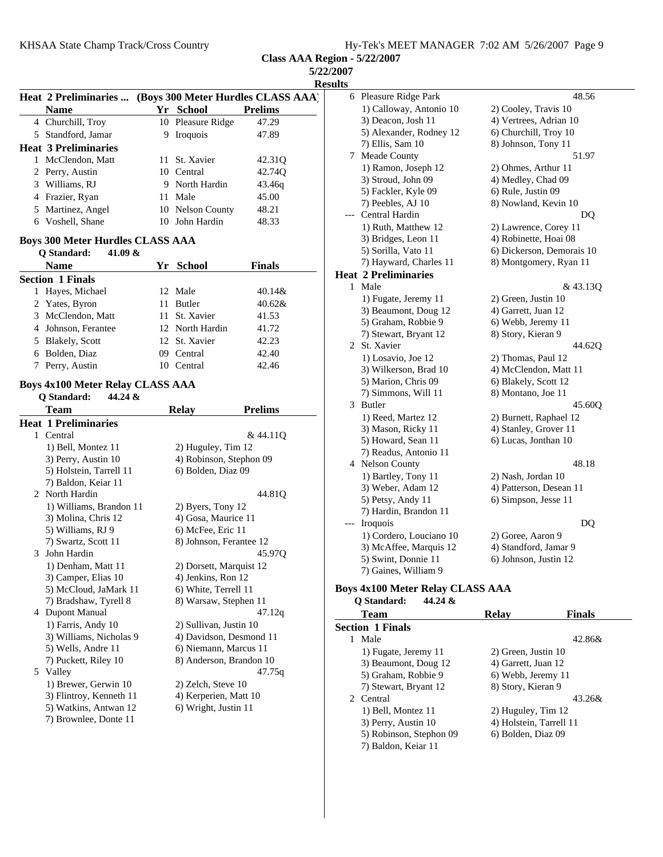**Class AAA Region - 5/22/2007**

| 5/22/2007      |   |  |  |  |  |
|----------------|---|--|--|--|--|
| <b>Results</b> |   |  |  |  |  |
| AA`            | 6 |  |  |  |  |

|    | <b>Heat 2 Preliminaries </b> |   |                   | (Boys 300 Meter Hurdles CLASS AAA) |
|----|------------------------------|---|-------------------|------------------------------------|
|    | <b>Name</b>                  |   | Yr School         | <b>Prelims</b>                     |
|    | 4 Churchill, Troy            |   | 10 Pleasure Ridge | 47.29                              |
|    | 5 Standford, Jamar           | 9 | Iroquois          | 47.89                              |
|    | <b>Heat 3 Preliminaries</b>  |   |                   |                                    |
| 1  | McClendon, Matt              |   | 11 St. Xavier     | 42.31 <sub>O</sub>                 |
|    | 2 Perry, Austin              |   | 10 Central        | 42.74Q                             |
|    | 3 Williams, RJ               |   | 9 North Hardin    | 43.46g                             |
|    | 4 Frazier, Ryan              |   | 11 Male           | 45.00                              |
|    | 5 Martinez, Angel            |   | 10 Nelson County  | 48.21                              |
| 6. | Voshell, Shane               |   | 10 John Hardin    | 48.33                              |
|    |                              |   |                   |                                    |

## **Boys 300 Meter Hurdles CLASS AAA Q Standard: 41.09 &**

| O Bianuaru.<br>41.VZ W  |     |                 |               |  |
|-------------------------|-----|-----------------|---------------|--|
| <b>Name</b>             |     | Yr School       | <b>Finals</b> |  |
| <b>Section 1 Finals</b> |     |                 |               |  |
| 1 Hayes, Michael        |     | 12 Male         | $40.14\&$     |  |
| 2 Yates, Byron          |     | 11 Butler       | $40.62\&$     |  |
| 3 McClendon, Matt       |     | 11 St. Xavier   | 41.53         |  |
| 4 Johnson, Ferantee     |     | 12 North Hardin | 41.72         |  |
| 5 Blakely, Scott        |     | 12 St. Xavier   | 42.23         |  |
| 6 Bolden, Diaz          |     | 09 Central      | 42.40         |  |
| Perry, Austin           | 10. | Central         | 42.46         |  |

## **Boys 4x100 Meter Relay CLASS AAA Q Standard: 44.24 &**

|   | <b>Team</b>                 | <b>Relay</b>            | <b>Prelims</b>     |
|---|-----------------------------|-------------------------|--------------------|
|   | <b>Heat 1 Preliminaries</b> |                         |                    |
|   | 1 Central                   |                         | & 44.110           |
|   | 1) Bell, Montez 11          | 2) Huguley, Tim 12      |                    |
|   | 3) Perry, Austin 10         | 4) Robinson, Stephon 09 |                    |
|   | 5) Holstein, Tarrell 11     | 6) Bolden, Diaz 09      |                    |
|   | 7) Baldon, Keiar 11         |                         |                    |
|   | 2 North Hardin              |                         | 44.81Q             |
|   | 1) Williams, Brandon 11     | 2) Byers, Tony 12       |                    |
|   | 3) Molina, Chris 12         | 4) Gosa, Maurice 11     |                    |
|   | 5) Williams, RJ 9           | 6) McFee, Eric 11       |                    |
|   | 7) Swartz, Scott 11         | 8) Johnson, Ferantee 12 |                    |
| 3 | John Hardin                 |                         | 45.97 <sub>O</sub> |
|   | 1) Denham, Matt 11          | 2) Dorsett, Marquist 12 |                    |
|   | 3) Camper, Elias 10         | 4) Jenkins, Ron 12      |                    |
|   | 5) McCloud, JaMark 11       | 6) White, Terrell 11    |                    |
|   | 7) Bradshaw, Tyrell 8       | 8) Warsaw, Stephen 11   |                    |
| 4 | Dupont Manual               |                         | 47.12q             |
|   | 1) Farris, Andy 10          | 2) Sullivan, Justin 10  |                    |
|   | 3) Williams, Nicholas 9     | 4) Davidson, Desmond 11 |                    |
|   | 5) Wells, Andre 11          | 6) Niemann, Marcus 11   |                    |
|   | 7) Puckett, Riley 10        | 8) Anderson, Brandon 10 |                    |
|   | 5 Valley                    |                         | 47.75q             |
|   | 1) Brewer, Gerwin 10        | 2) Zelch, Steve 10      |                    |
|   | 3) Flintroy, Kenneth 11     | 4) Kerperien, Matt 10   |                    |
|   | 5) Watkins, Antwan 12       | 6) Wright, Justin 11    |                    |
|   | 7) Brownlee, Donte 11       |                         |                    |
|   |                             |                         |                    |

| 6   | Pleasure Ridge Park                           | 48.56                     |
|-----|-----------------------------------------------|---------------------------|
|     | 1) Calloway, Antonio 10                       | 2) Cooley, Travis 10      |
|     | 3) Deacon, Josh 11                            | 4) Vertrees, Adrian 10    |
|     | 5) Alexander, Rodney 12                       | 6) Churchill, Troy 10     |
|     | 7) Ellis, Sam 10                              | 8) Johnson, Tony 11       |
| 7   | Meade County                                  | 51.97                     |
|     | 1) Ramon, Joseph 12                           | 2) Ohmes, Arthur 11       |
|     | 3) Stroud, John 09                            | 4) Medley, Chad 09        |
|     | 5) Fackler, Kyle 09                           | 6) Rule, Justin 09        |
|     | 7) Peebles, AJ 10                             | 8) Nowland, Kevin 10      |
|     | Central Hardin                                | DO                        |
|     | 1) Ruth, Matthew 12                           | 2) Lawrence, Corey 11     |
|     | 3) Bridges, Leon 11                           | 4) Robinette, Hoai 08     |
|     | 5) Sorilla, Vato 11                           | 6) Dickerson, Demorais 10 |
|     | 7) Hayward, Charles 11                        | 8) Montgomery, Ryan 11    |
|     | <b>Heat 2 Preliminaries</b>                   |                           |
| 1   | Male                                          | & 43.13Q                  |
|     | 1) Fugate, Jeremy 11                          | 2) Green, Justin 10       |
|     | 3) Beaumont, Doug 12                          | 4) Garrett, Juan 12       |
|     | 5) Graham, Robbie 9                           | 6) Webb, Jeremy 11        |
|     | 7) Stewart, Bryant 12                         | 8) Story, Kieran 9        |
| 2   | St. Xavier                                    | 44.62Q                    |
|     | 1) Losavio, Joe 12                            | 2) Thomas, Paul 12        |
|     | 3) Wilkerson, Brad 10                         | 4) McClendon, Matt 11     |
|     | 5) Marion, Chris 09                           | 6) Blakely, Scott 12      |
|     | 7) Simmons, Will 11                           | 8) Montano, Joe 11        |
| 3   | <b>Butler</b>                                 | 45.60Q                    |
|     | 1) Reed, Martez 12                            | 2) Burnett, Raphael 12    |
|     | 3) Mason, Ricky 11                            | 4) Stanley, Grover 11     |
|     | 5) Howard, Sean 11                            | 6) Lucas, Jonthan 10      |
| 4   | 7) Readus, Antonio 11<br><b>Nelson County</b> | 48.18                     |
|     | 1) Bartley, Tony 11                           | 2) Nash, Jordan 10        |
|     | 3) Weber, Adam 12                             | 4) Patterson, Desean 11   |
|     | 5) Petsy, Andy 11                             | 6) Simpson, Jesse 11      |
|     | 7) Hardin, Brandon 11                         |                           |
| --- | Iroquois                                      | DQ                        |
|     | 1) Cordero, Louciano 10                       | 2) Goree, Aaron 9         |
|     | 3) McAffee, Marquis 12                        | 4) Standford, Jamar 9     |
|     | 5) Swint, Donnie 11                           | 6) Johnson, Justin 12     |
|     | 7) Gaines, William 9                          |                           |
|     |                                               |                           |

## **Boys 4x100 Meter Relay CLASS AAA**<br>Q Standard: 44.24 & **Q Standard: 44.24 &**

| Team                    | Relav                   | <b>Finals</b> |
|-------------------------|-------------------------|---------------|
| <b>Section 1 Finals</b> |                         |               |
| Male                    |                         | $42.86\&$     |
| 1) Fugate, Jeremy 11    | 2) Green, Justin 10     |               |
| 3) Beaumont, Doug 12    | 4) Garrett, Juan 12     |               |
| 5) Graham, Robbie 9     | 6) Webb, Jeremy 11      |               |
| 7) Stewart, Bryant 12   | 8) Story, Kieran 9      |               |
| 2 Central               |                         | 43.26&        |
| 1) Bell, Montez 11      | 2) Huguley, Tim 12      |               |
| 3) Perry, Austin 10     | 4) Holstein, Tarrell 11 |               |
| 5) Robinson, Stephon 09 | 6) Bolden, Diaz 09      |               |
| 7) Baldon, Keiar 11     |                         |               |
|                         |                         |               |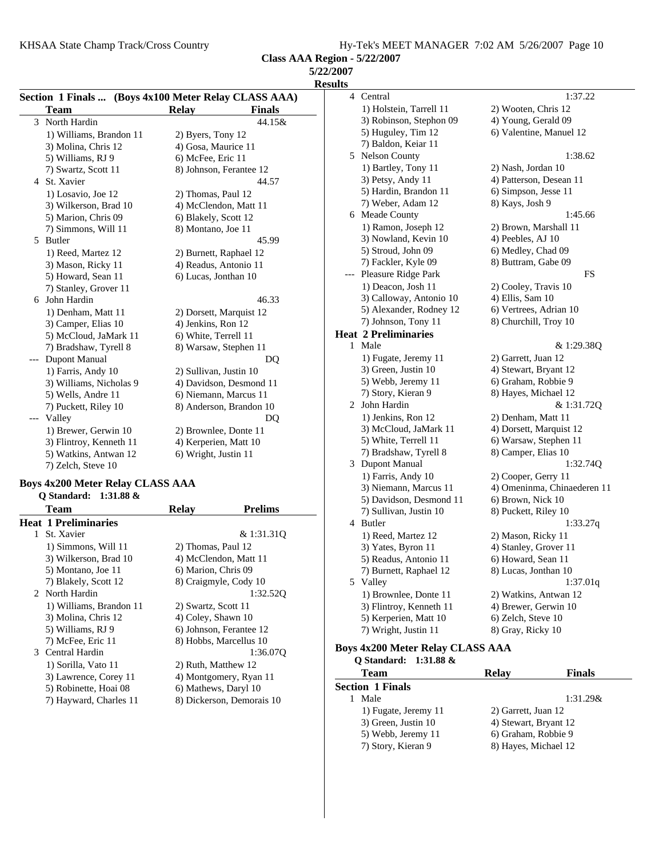KHSAA State Champ Track/Cross Country Hy-Tek's MEET MANAGER 7:02 AM 5/26/2007 Page 10

**Class AAA Region - 5/22/2007**

**5/22/2007**

| Section 1 Finals  (Boys 4x100 Meter Relay CLASS AAA) |                         |                               |  |
|------------------------------------------------------|-------------------------|-------------------------------|--|
|                                                      | <b>Team</b>             | <b>Relay</b><br><b>Finals</b> |  |
| 3                                                    | North Hardin            | 44.15&                        |  |
|                                                      | 1) Williams, Brandon 11 | 2) Byers, Tony 12             |  |
|                                                      | 3) Molina, Chris 12     | 4) Gosa, Maurice 11           |  |
|                                                      | 5) Williams, RJ 9       | 6) McFee, Eric 11             |  |
|                                                      | 7) Swartz, Scott 11     | 8) Johnson, Ferantee 12       |  |
|                                                      | 4 St. Xavier            | 44.57                         |  |
|                                                      | 1) Losavio, Joe 12      | 2) Thomas, Paul 12            |  |
|                                                      | 3) Wilkerson, Brad 10   | 4) McClendon, Matt 11         |  |
|                                                      | 5) Marion, Chris 09     | 6) Blakely, Scott 12          |  |
|                                                      | 7) Simmons, Will 11     | 8) Montano, Joe 11            |  |
| 5                                                    | Butler                  | 45.99                         |  |
|                                                      | 1) Reed, Martez 12      | 2) Burnett, Raphael 12        |  |
|                                                      | 3) Mason, Ricky 11      | 4) Readus, Antonio 11         |  |
|                                                      | 5) Howard, Sean 11      | 6) Lucas, Jonthan 10          |  |
|                                                      | 7) Stanley, Grover 11   |                               |  |
| 6                                                    | John Hardin             | 46.33                         |  |
|                                                      | 1) Denham, Matt 11      | 2) Dorsett, Marquist 12       |  |
|                                                      | 3) Camper, Elias 10     | 4) Jenkins, Ron 12            |  |
|                                                      | 5) McCloud, JaMark 11   | 6) White, Terrell 11          |  |
|                                                      | 7) Bradshaw, Tyrell 8   | 8) Warsaw, Stephen 11         |  |
|                                                      | Dupont Manual           | DO                            |  |
|                                                      | 1) Farris, Andy 10      | 2) Sullivan, Justin 10        |  |
|                                                      | 3) Williams, Nicholas 9 | 4) Davidson, Desmond 11       |  |
|                                                      | 5) Wells, Andre 11      | 6) Niemann, Marcus 11         |  |
|                                                      | 7) Puckett, Riley 10    | 8) Anderson, Brandon 10       |  |
| ---                                                  | Valley                  | DO                            |  |
|                                                      | 1) Brewer, Gerwin 10    | 2) Brownlee, Donte 11         |  |
|                                                      | 3) Flintroy, Kenneth 11 | 4) Kerperien, Matt 10         |  |
|                                                      | 5) Watkins, Antwan 12   | 6) Wright, Justin 11          |  |
|                                                      | 7) Zelch, Steve 10      |                               |  |

#### **Boys 4x200 Meter Relay CLASS AAA Q Standard: 1:31.88 &**

|    | 0 bianuaru. – 1.91.00 <b>u</b> |                      |                           |
|----|--------------------------------|----------------------|---------------------------|
|    | Team                           | <b>Relay</b>         | <b>Prelims</b>            |
|    | Heat 1 Preliminaries           |                      |                           |
| 1. | St. Xavier                     |                      | & 1:31.310                |
|    | 1) Simmons, Will 11            | 2) Thomas, Paul 12   |                           |
|    | 3) Wilkerson, Brad 10          |                      | 4) McClendon, Matt 11     |
|    | 5) Montano, Joe 11             | 6) Marion, Chris 09  |                           |
|    | 7) Blakely, Scott 12           |                      | 8) Craigmyle, Cody 10     |
|    | 2 North Hardin                 |                      | 1:32.520                  |
|    | 1) Williams, Brandon 11        | 2) Swartz, Scott 11  |                           |
|    | 3) Molina, Chris 12            | 4) Coley, Shawn 10   |                           |
|    | 5) Williams, RJ 9              |                      | 6) Johnson, Ferantee 12   |
|    | 7) McFee, Eric 11              |                      | 8) Hobbs, Marcellus 10    |
|    | 3 Central Hardin               |                      | 1:36.070                  |
|    | 1) Sorilla, Vato 11            | 2) Ruth, Matthew 12  |                           |
|    | 3) Lawrence, Corey 11          |                      | 4) Montgomery, Ryan 11    |
|    | 5) Robinette, Hoai 08          | 6) Mathews, Daryl 10 |                           |
|    | 7) Hayward, Charles 11         |                      | 8) Dickerson, Demorais 10 |
|    |                                |                      |                           |

| ults           |                             |                             |
|----------------|-----------------------------|-----------------------------|
|                | 4 Central                   | 1:37.22                     |
|                | 1) Holstein, Tarrell 11     | 2) Wooten, Chris 12         |
|                | 3) Robinson, Stephon 09     | 4) Young, Gerald 09         |
|                | 5) Huguley, Tim 12          | 6) Valentine, Manuel 12     |
|                | 7) Baldon, Keiar 11         |                             |
| 5              | Nelson County               | 1:38.62                     |
|                | 1) Bartley, Tony 11         | 2) Nash, Jordan 10          |
|                | 3) Petsy, Andy 11           | 4) Patterson, Desean 11     |
|                | 5) Hardin, Brandon 11       | 6) Simpson, Jesse 11        |
|                | 7) Weber, Adam 12           | 8) Kays, Josh 9             |
|                | 6 Meade County              | 1:45.66                     |
|                | 1) Ramon, Joseph 12         | 2) Brown, Marshall 11       |
|                | 3) Nowland, Kevin 10        | 4) Peebles, AJ 10           |
|                | 5) Stroud, John 09          | 6) Medley, Chad 09          |
|                | 7) Fackler, Kyle 09         | 8) Buttram, Gabe 09         |
| $---$          | Pleasure Ridge Park         | FS                          |
|                | 1) Deacon, Josh 11          | 2) Cooley, Travis 10        |
|                | 3) Calloway, Antonio 10     | 4) Ellis, Sam 10            |
|                | 5) Alexander, Rodney 12     | 6) Vertrees, Adrian 10      |
|                | 7) Johnson, Tony 11         | 8) Churchill, Troy 10       |
|                | <b>Heat 2 Preliminaries</b> |                             |
| 1.             | Male                        | & 1:29.38Q                  |
|                | 1) Fugate, Jeremy 11        | 2) Garrett, Juan 12         |
|                | 3) Green, Justin 10         | 4) Stewart, Bryant 12       |
|                | 5) Webb, Jeremy 11          | 6) Graham, Robbie 9         |
|                | 7) Story, Kieran 9          | 8) Hayes, Michael 12        |
| $\overline{2}$ | John Hardin                 | & 1:31.72Q                  |
|                | 1) Jenkins, Ron 12          | 2) Denham, Matt 11          |
|                | 3) McCloud, JaMark 11       | 4) Dorsett, Marquist 12     |
|                | 5) White, Terrell 11        | 6) Warsaw, Stephen 11       |
|                | 7) Bradshaw, Tyrell 8       | 8) Camper, Elias 10         |
|                | 3 Dupont Manual             | 1:32.74Q                    |
|                | 1) Farris, Andy 10          | 2) Cooper, Gerry 11         |
|                | 3) Niemann, Marcus 11       | 4) Omeninma, Chinaederen 11 |
|                | 5) Davidson, Desmond 11     | 6) Brown, Nick 10           |
|                | 7) Sullivan, Justin 10      | 8) Puckett, Riley 10        |
|                | 4 Butler                    | 1:33.27q                    |
|                | 1) Reed, Martez 12          | 2) Mason, Ricky 11          |
|                | 3) Yates, Byron 11          | 4) Stanley, Grover 11       |
|                | 5) Readus, Antonio 11       | 6) Howard, Sean 11          |
|                | 7) Burnett, Raphael 12      | 8) Lucas, Jonthan 10        |
|                | 5 Valley                    | 1:37.01q                    |
|                | 1) Brownlee, Donte 11       | 2) Watkins, Antwan 12       |
|                | 3) Flintroy, Kenneth 11     | 4) Brewer, Gerwin 10        |
|                | 5) Kerperien, Matt 10       | 6) Zelch, Steve 10          |
|                | 7) Wright, Justin 11        | 8) Gray, Ricky 10           |
|                |                             |                             |

**Boys 4x200 Meter Relay CLASS AAA**

| Relav                 | <b>Finals</b> |
|-----------------------|---------------|
|                       |               |
|                       | 1:31.29&      |
| 2) Garrett, Juan 12   |               |
| 4) Stewart, Bryant 12 |               |
| 6) Graham, Robbie 9   |               |
| 8) Hayes, Michael 12  |               |
|                       |               |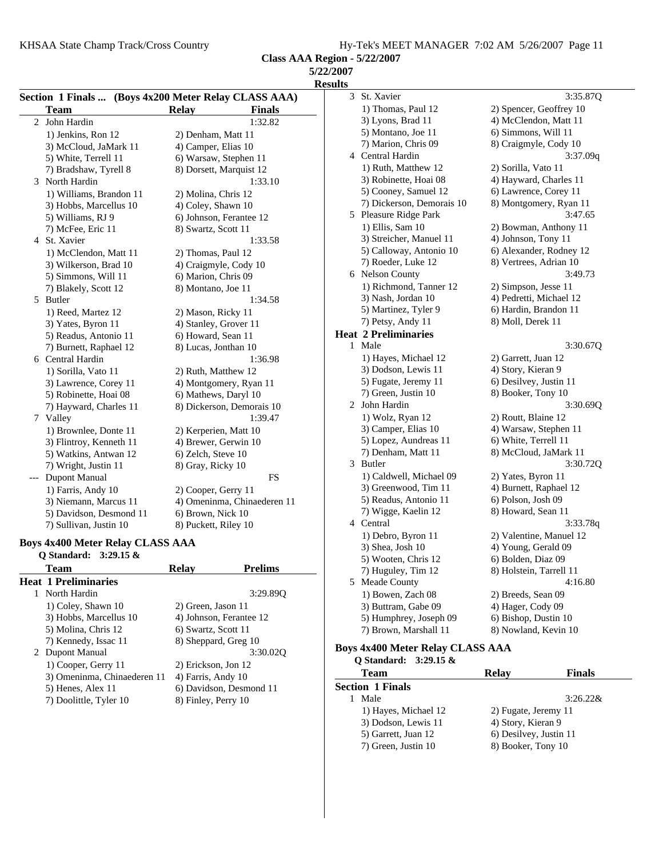KHSAA State Champ Track/Cross Country Hy-Tek's MEET MANAGER 7:02 AM 5/26/2007 Page 11

**Class AAA Region - 5/22/2007**

**5/22/2007**

**Results**

|   |                         | Section 1 Finals  (Boys 4x200 Meter Relay CLASS AAA) |
|---|-------------------------|------------------------------------------------------|
|   | Team                    | <b>Finals</b><br><b>Relay</b>                        |
| 2 | John Hardin             | 1:32.82                                              |
|   | 1) Jenkins, Ron 12      | 2) Denham, Matt 11                                   |
|   | 3) McCloud, JaMark 11   | 4) Camper, Elias 10                                  |
|   | 5) White, Terrell 11    | 6) Warsaw, Stephen 11                                |
|   | 7) Bradshaw, Tyrell 8   | 8) Dorsett, Marquist 12                              |
| 3 | North Hardin            | 1:33.10                                              |
|   | 1) Williams, Brandon 11 | 2) Molina, Chris 12                                  |
|   | 3) Hobbs, Marcellus 10  | 4) Coley, Shawn 10                                   |
|   | 5) Williams, RJ 9       | 6) Johnson, Ferantee 12                              |
|   | 7) McFee, Eric 11       | 8) Swartz, Scott 11                                  |
| 4 | St. Xavier              | 1:33.58                                              |
|   | 1) McClendon, Matt 11   | 2) Thomas, Paul 12                                   |
|   | 3) Wilkerson, Brad 10   | 4) Craigmyle, Cody 10                                |
|   | 5) Simmons, Will 11     | 6) Marion, Chris 09                                  |
|   | 7) Blakely, Scott 12    | 8) Montano, Joe 11                                   |
| 5 | Butler                  | 1:34.58                                              |
|   | 1) Reed, Martez 12      | 2) Mason, Ricky 11                                   |
|   | 3) Yates, Byron 11      | 4) Stanley, Grover 11                                |
|   | 5) Readus, Antonio 11   | 6) Howard, Sean 11                                   |
|   | 7) Burnett, Raphael 12  | 8) Lucas, Jonthan 10                                 |
| 6 | Central Hardin          | 1:36.98                                              |
|   | 1) Sorilla, Vato 11     | 2) Ruth, Matthew 12                                  |
|   | 3) Lawrence, Corey 11   | 4) Montgomery, Ryan 11                               |
|   | 5) Robinette, Hoai 08   | 6) Mathews, Daryl 10                                 |
|   | 7) Hayward, Charles 11  | 8) Dickerson, Demorais 10                            |
| 7 | Valley                  | 1:39.47                                              |
|   | 1) Brownlee, Donte 11   | 2) Kerperien, Matt 10                                |
|   | 3) Flintroy, Kenneth 11 | 4) Brewer, Gerwin 10                                 |
|   | 5) Watkins, Antwan 12   | 6) Zelch, Steve 10                                   |
|   | 7) Wright, Justin 11    | 8) Gray, Ricky 10                                    |
|   | <b>Dupont Manual</b>    | <b>FS</b>                                            |
|   | 1) Farris, Andy 10      | 2) Cooper, Gerry 11                                  |
|   | 3) Niemann, Marcus 11   | 4) Omeninma, Chinaederen 11                          |
|   | 5) Davidson, Desmond 11 | 6) Brown, Nick 10                                    |
|   | 7) Sullivan, Justin 10  | 8) Puckett, Riley 10                                 |

## **Boys 4x400 Meter Relay CLASS AAA**

| Q Standard: 3:29.15 &       |                      |                         |
|-----------------------------|----------------------|-------------------------|
| <b>Team</b>                 | Relay                | <b>Prelims</b>          |
| <b>Heat 1 Preliminaries</b> |                      |                         |
| North Hardin                |                      | 3:29.890                |
| 1) Coley, Shawn 10          | 2) Green, Jason 11   |                         |
| 3) Hobbs, Marcellus 10      |                      | 4) Johnson, Ferantee 12 |
| 5) Molina, Chris 12         | 6) Swartz, Scott 11  |                         |
| 7) Kennedy, Issac 11        | 8) Sheppard, Greg 10 |                         |
| 2 Dupont Manual             |                      | 3:30.020                |
| 1) Cooper, Gerry 11         | 2) Erickson, Jon 12  |                         |
| 3) Omeninma, Chinaederen 11 | 4) Farris, Andy 10   |                         |
| 5) Henes, Alex 11           |                      | 6) Davidson, Desmond 11 |
| 7) Doolittle, Tyler 10      | 8) Finley, Perry 10  |                         |

| ults           |                                         |                         |
|----------------|-----------------------------------------|-------------------------|
| 3              | St. Xavier                              | 3:35.87Q                |
|                | 1) Thomas, Paul 12                      | 2) Spencer, Geoffrey 10 |
|                | 3) Lyons, Brad 11                       | 4) McClendon, Matt 11   |
|                | 5) Montano, Joe 11                      | 6) Simmons, Will 11     |
|                | 7) Marion, Chris 09                     | 8) Craigmyle, Cody 10   |
| 4              | Central Hardin                          | 3:37.09q                |
|                | 1) Ruth, Matthew 12                     | 2) Sorilla, Vato 11     |
|                | 3) Robinette, Hoai 08                   | 4) Hayward, Charles 11  |
|                | 5) Cooney, Samuel 12                    | 6) Lawrence, Corey 11   |
|                | 7) Dickerson, Demorais 10               | 8) Montgomery, Ryan 11  |
| 5              | Pleasure Ridge Park                     | 3:47.65                 |
|                | 1) Ellis, Sam 10                        | 2) Bowman, Anthony 11   |
|                | 3) Streicher, Manuel 11                 | 4) Johnson, Tony 11     |
|                | 5) Calloway, Antonio 10                 | 6) Alexander, Rodney 12 |
|                | 7) Roeder, Luke 12                      | 8) Vertrees, Adrian 10  |
| 6              | <b>Nelson County</b>                    | 3:49.73                 |
|                | 1) Richmond, Tanner 12                  | 2) Simpson, Jesse 11    |
|                | 3) Nash, Jordan 10                      | 4) Pedretti, Michael 12 |
|                | 5) Martinez, Tyler 9                    | 6) Hardin, Brandon 11   |
|                | 7) Petsy, Andy 11                       | 8) Moll, Derek 11       |
|                | <b>Heat 2 Preliminaries</b>             |                         |
| 1              | Male                                    | 3:30.67Q                |
|                | 1) Hayes, Michael 12                    | 2) Garrett, Juan 12     |
|                | 3) Dodson, Lewis 11                     | 4) Story, Kieran 9      |
|                | 5) Fugate, Jeremy 11                    | 6) Desilvey, Justin 11  |
|                | 7) Green, Justin 10                     | 8) Booker, Tony 10      |
| $\mathbf{2}^-$ | John Hardin                             | 3:30.69Q                |
|                | 1) Wolz, Ryan 12                        | 2) Routt, Blaine 12     |
|                | 3) Camper, Elias 10                     | 4) Warsaw, Stephen 11   |
|                | 5) Lopez, Aundreas 11                   | 6) White, Terrell 11    |
|                | 7) Denham, Matt 11                      | 8) McCloud, JaMark 11   |
| 3              | <b>Butler</b>                           | 3:30.72Q                |
|                | 1) Caldwell, Michael 09                 | 2) Yates, Byron 11      |
|                | 3) Greenwood, Tim 11                    | 4) Burnett, Raphael 12  |
|                | 5) Readus, Antonio 11                   | 6) Polson, Josh 09      |
|                | 7) Wigge, Kaelin 12                     | 8) Howard, Sean 11      |
|                | 4 Central                               | 3:33.78q                |
|                | 1) Debro, Byron 11                      | 2) Valentine, Manuel 12 |
|                | 3) Shea, Josh 10                        | 4) Young, Gerald 09     |
|                | 5) Wooten, Chris 12                     | 6) Bolden, Diaz 09      |
|                | 7) Huguley, Tim 12                      | 8) Holstein, Tarrell 11 |
| 5.             | Meade County                            | 4:16.80                 |
|                | 1) Bowen, Zach 08                       | 2) Breeds, Sean 09      |
|                | 3) Buttram, Gabe 09                     | 4) Hager, Cody 09       |
|                | 5) Humphrey, Joseph 09                  | 6) Bishop, Dustin 10    |
|                | 7) Brown, Marshall 11                   | 8) Nowland, Kevin 10    |
|                | <b>Boys 4x400 Meter Relay CLASS AAA</b> |                         |
|                |                                         |                         |

| Q Standard: 3:29.15 &   |                        |               |
|-------------------------|------------------------|---------------|
| <b>Team</b>             | Relav                  | <b>Finals</b> |
| <b>Section 1 Finals</b> |                        |               |
| Male                    |                        | $3:26.22\&$   |
| 1) Hayes, Michael 12    | 2) Fugate, Jeremy 11   |               |
| 3) Dodson, Lewis 11     | 4) Story, Kieran 9     |               |
| 5) Garrett, Juan 12     | 6) Desilvey, Justin 11 |               |
| 7) Green, Justin 10     | 8) Booker, Tony 10     |               |
|                         |                        |               |